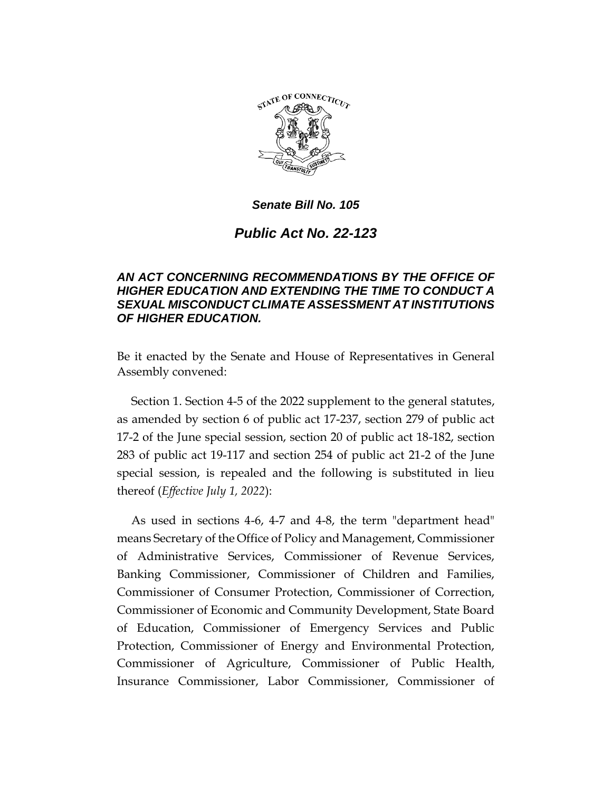

# *Public Act No. 22-123*

## *AN ACT CONCERNING RECOMMENDATIONS BY THE OFFICE OF HIGHER EDUCATION AND EXTENDING THE TIME TO CONDUCT A SEXUAL MISCONDUCT CLIMATE ASSESSMENT AT INSTITUTIONS OF HIGHER EDUCATION.*

Be it enacted by the Senate and House of Representatives in General Assembly convened:

Section 1. Section 4-5 of the 2022 supplement to the general statutes, as amended by section 6 of public act 17-237, section 279 of public act 17-2 of the June special session, section 20 of public act 18-182, section 283 of public act 19-117 and section 254 of public act 21-2 of the June special session, is repealed and the following is substituted in lieu thereof (*Effective July 1, 2022*):

As used in sections 4-6, 4-7 and 4-8, the term "department head" means Secretary of the Office of Policy and Management, Commissioner of Administrative Services, Commissioner of Revenue Services, Banking Commissioner, Commissioner of Children and Families, Commissioner of Consumer Protection, Commissioner of Correction, Commissioner of Economic and Community Development, State Board of Education, Commissioner of Emergency Services and Public Protection, Commissioner of Energy and Environmental Protection, Commissioner of Agriculture, Commissioner of Public Health, Insurance Commissioner, Labor Commissioner, Commissioner of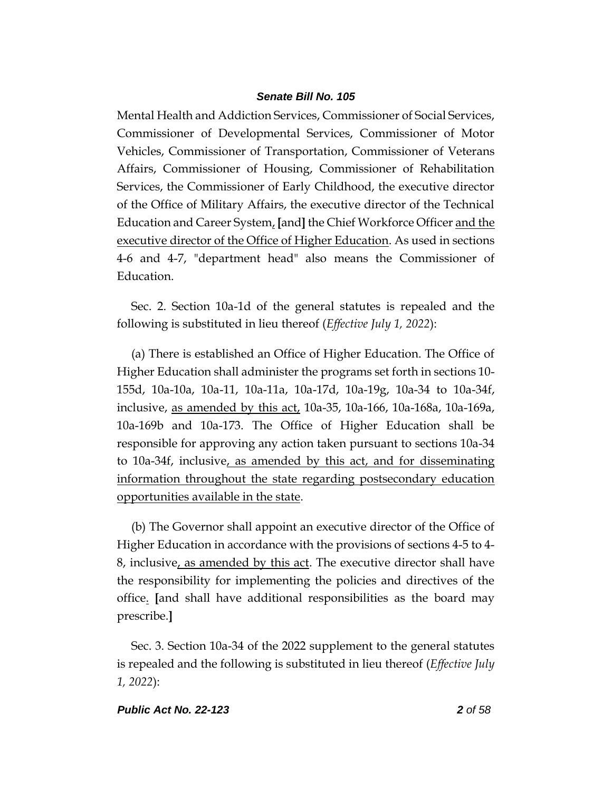Mental Health and Addiction Services, Commissioner of Social Services, Commissioner of Developmental Services, Commissioner of Motor Vehicles, Commissioner of Transportation, Commissioner of Veterans Affairs, Commissioner of Housing, Commissioner of Rehabilitation Services, the Commissioner of Early Childhood, the executive director of the Office of Military Affairs, the executive director of the Technical Education and Career System, **[**and**]** the Chief Workforce Officer and the executive director of the Office of Higher Education. As used in sections 4-6 and 4-7, "department head" also means the Commissioner of Education.

Sec. 2. Section 10a-1d of the general statutes is repealed and the following is substituted in lieu thereof (*Effective July 1, 2022*):

(a) There is established an Office of Higher Education. The Office of Higher Education shall administer the programs set forth in sections 10- 155d, 10a-10a, 10a-11, 10a-11a, 10a-17d, 10a-19g, 10a-34 to 10a-34f, inclusive, as amended by this act, 10a-35, 10a-166, 10a-168a, 10a-169a, 10a-169b and 10a-173. The Office of Higher Education shall be responsible for approving any action taken pursuant to sections 10a-34 to 10a-34f, inclusive, as amended by this act, and for disseminating information throughout the state regarding postsecondary education opportunities available in the state.

(b) The Governor shall appoint an executive director of the Office of Higher Education in accordance with the provisions of sections 4-5 to 4- 8, inclusive, as amended by this act. The executive director shall have the responsibility for implementing the policies and directives of the office. **[**and shall have additional responsibilities as the board may prescribe.**]**

Sec. 3. Section 10a-34 of the 2022 supplement to the general statutes is repealed and the following is substituted in lieu thereof (*Effective July 1, 2022*):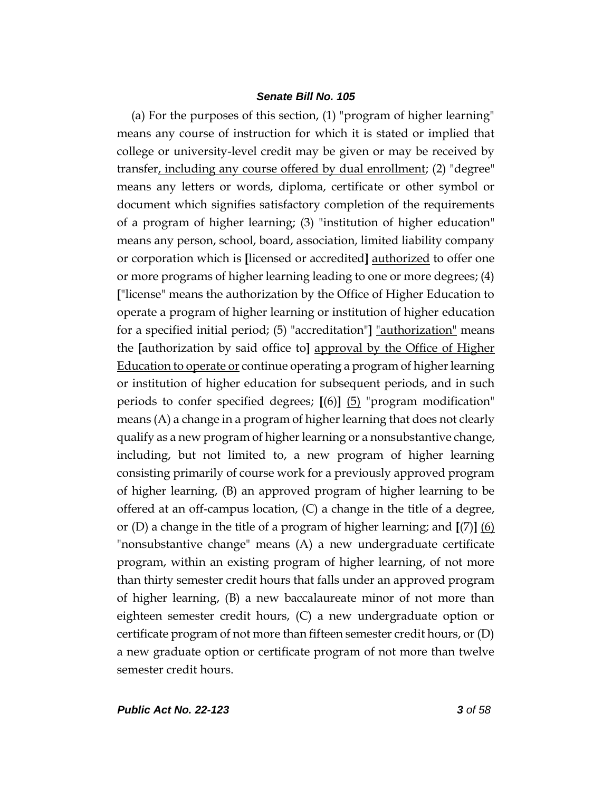(a) For the purposes of this section, (1) "program of higher learning" means any course of instruction for which it is stated or implied that college or university-level credit may be given or may be received by transfer, including any course offered by dual enrollment; (2) "degree" means any letters or words, diploma, certificate or other symbol or document which signifies satisfactory completion of the requirements of a program of higher learning; (3) "institution of higher education" means any person, school, board, association, limited liability company or corporation which is **[**licensed or accredited**]** authorized to offer one or more programs of higher learning leading to one or more degrees; (4) **[**"license" means the authorization by the Office of Higher Education to operate a program of higher learning or institution of higher education for a specified initial period; (5) "accreditation"**]** "authorization" means the **[**authorization by said office to**]** approval by the Office of Higher Education to operate or continue operating a program of higher learning or institution of higher education for subsequent periods, and in such periods to confer specified degrees; **[**(6)**]** (5) "program modification" means (A) a change in a program of higher learning that does not clearly qualify as a new program of higher learning or a nonsubstantive change, including, but not limited to, a new program of higher learning consisting primarily of course work for a previously approved program of higher learning, (B) an approved program of higher learning to be offered at an off-campus location, (C) a change in the title of a degree, or (D) a change in the title of a program of higher learning; and **[**(7)**]** (6) "nonsubstantive change" means (A) a new undergraduate certificate program, within an existing program of higher learning, of not more than thirty semester credit hours that falls under an approved program of higher learning, (B) a new baccalaureate minor of not more than eighteen semester credit hours, (C) a new undergraduate option or certificate program of not more than fifteen semester credit hours, or (D) a new graduate option or certificate program of not more than twelve semester credit hours.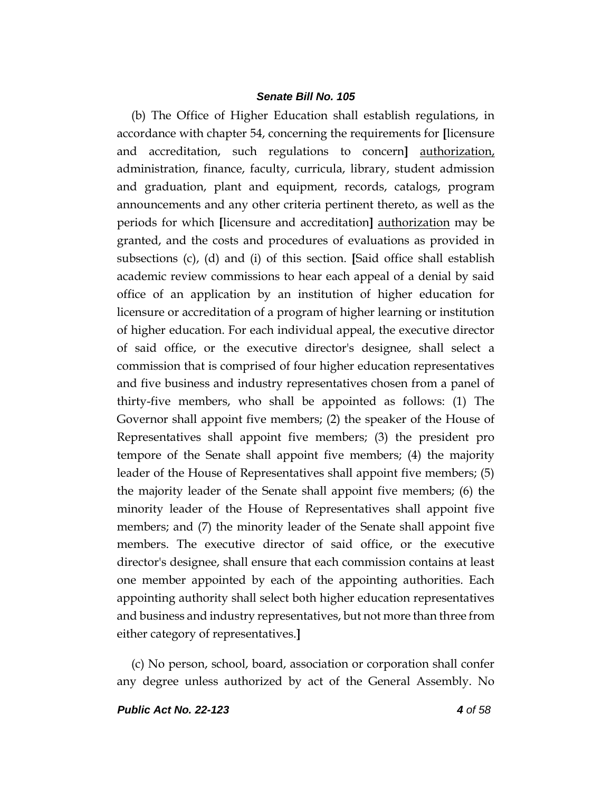(b) The Office of Higher Education shall establish regulations, in accordance with chapter 54, concerning the requirements for **[**licensure and accreditation, such regulations to concern**]** authorization, administration, finance, faculty, curricula, library, student admission and graduation, plant and equipment, records, catalogs, program announcements and any other criteria pertinent thereto, as well as the periods for which **[**licensure and accreditation**]** authorization may be granted, and the costs and procedures of evaluations as provided in subsections (c), (d) and (i) of this section. **[**Said office shall establish academic review commissions to hear each appeal of a denial by said office of an application by an institution of higher education for licensure or accreditation of a program of higher learning or institution of higher education. For each individual appeal, the executive director of said office, or the executive director's designee, shall select a commission that is comprised of four higher education representatives and five business and industry representatives chosen from a panel of thirty-five members, who shall be appointed as follows: (1) The Governor shall appoint five members; (2) the speaker of the House of Representatives shall appoint five members; (3) the president pro tempore of the Senate shall appoint five members; (4) the majority leader of the House of Representatives shall appoint five members; (5) the majority leader of the Senate shall appoint five members; (6) the minority leader of the House of Representatives shall appoint five members; and (7) the minority leader of the Senate shall appoint five members. The executive director of said office, or the executive director's designee, shall ensure that each commission contains at least one member appointed by each of the appointing authorities. Each appointing authority shall select both higher education representatives and business and industry representatives, but not more than three from either category of representatives.**]**

(c) No person, school, board, association or corporation shall confer any degree unless authorized by act of the General Assembly. No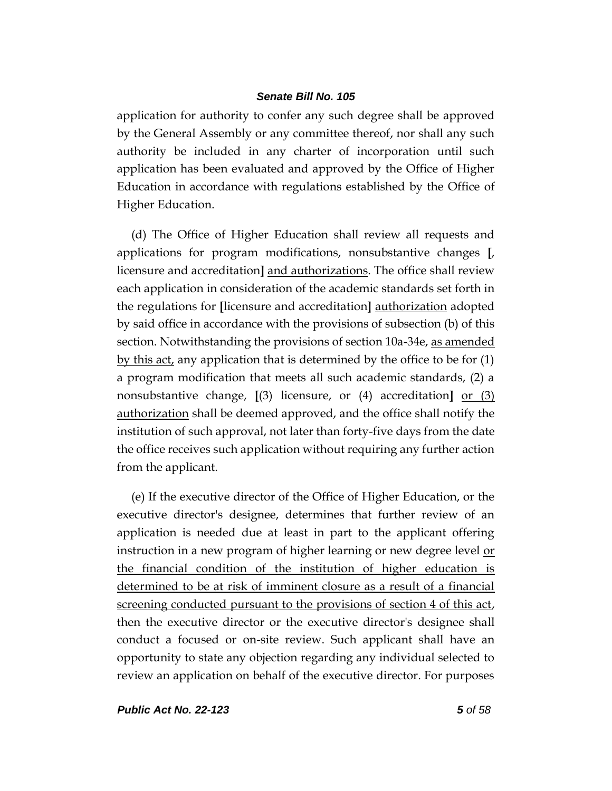application for authority to confer any such degree shall be approved by the General Assembly or any committee thereof, nor shall any such authority be included in any charter of incorporation until such application has been evaluated and approved by the Office of Higher Education in accordance with regulations established by the Office of Higher Education.

(d) The Office of Higher Education shall review all requests and applications for program modifications, nonsubstantive changes **[**, licensure and accreditation**]** and authorizations. The office shall review each application in consideration of the academic standards set forth in the regulations for **[**licensure and accreditation**]** authorization adopted by said office in accordance with the provisions of subsection (b) of this section. Notwithstanding the provisions of section 10a-34e, as amended by this act, any application that is determined by the office to be for (1) a program modification that meets all such academic standards, (2) a nonsubstantive change, **[**(3) licensure, or (4) accreditation**]** or (3) authorization shall be deemed approved, and the office shall notify the institution of such approval, not later than forty-five days from the date the office receives such application without requiring any further action from the applicant.

(e) If the executive director of the Office of Higher Education, or the executive director's designee, determines that further review of an application is needed due at least in part to the applicant offering instruction in a new program of higher learning or new degree level or the financial condition of the institution of higher education is determined to be at risk of imminent closure as a result of a financial screening conducted pursuant to the provisions of section 4 of this act, then the executive director or the executive director's designee shall conduct a focused or on-site review. Such applicant shall have an opportunity to state any objection regarding any individual selected to review an application on behalf of the executive director. For purposes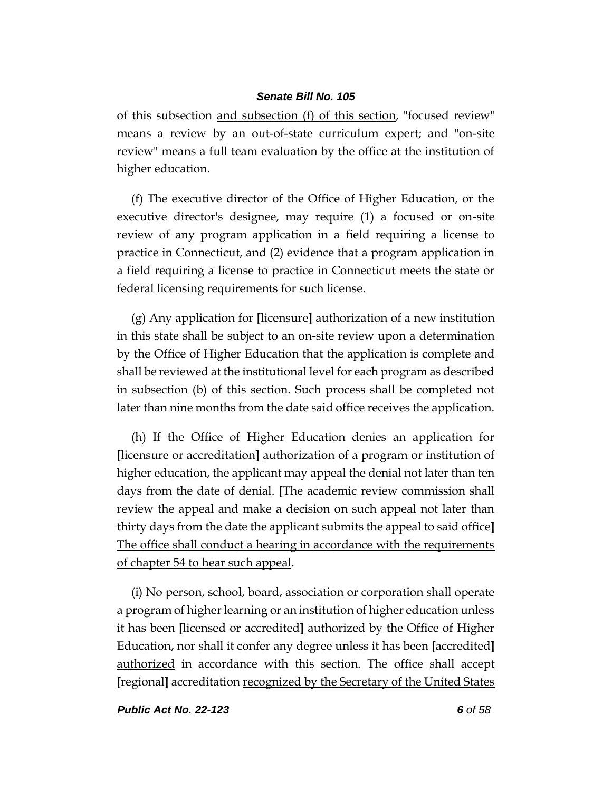of this subsection and subsection (f) of this section, "focused review" means a review by an out-of-state curriculum expert; and "on-site review" means a full team evaluation by the office at the institution of higher education.

(f) The executive director of the Office of Higher Education, or the executive director's designee, may require (1) a focused or on-site review of any program application in a field requiring a license to practice in Connecticut, and (2) evidence that a program application in a field requiring a license to practice in Connecticut meets the state or federal licensing requirements for such license.

(g) Any application for **[**licensure**]** authorization of a new institution in this state shall be subject to an on-site review upon a determination by the Office of Higher Education that the application is complete and shall be reviewed at the institutional level for each program as described in subsection (b) of this section. Such process shall be completed not later than nine months from the date said office receives the application.

(h) If the Office of Higher Education denies an application for **[**licensure or accreditation**]** authorization of a program or institution of higher education, the applicant may appeal the denial not later than ten days from the date of denial. **[**The academic review commission shall review the appeal and make a decision on such appeal not later than thirty days from the date the applicant submits the appeal to said office**]**  The office shall conduct a hearing in accordance with the requirements of chapter 54 to hear such appeal.

(i) No person, school, board, association or corporation shall operate a program of higher learning or an institution of higher education unless it has been **[**licensed or accredited**]** authorized by the Office of Higher Education, nor shall it confer any degree unless it has been **[**accredited**]** authorized in accordance with this section. The office shall accept **[**regional**]** accreditation recognized by the Secretary of the United States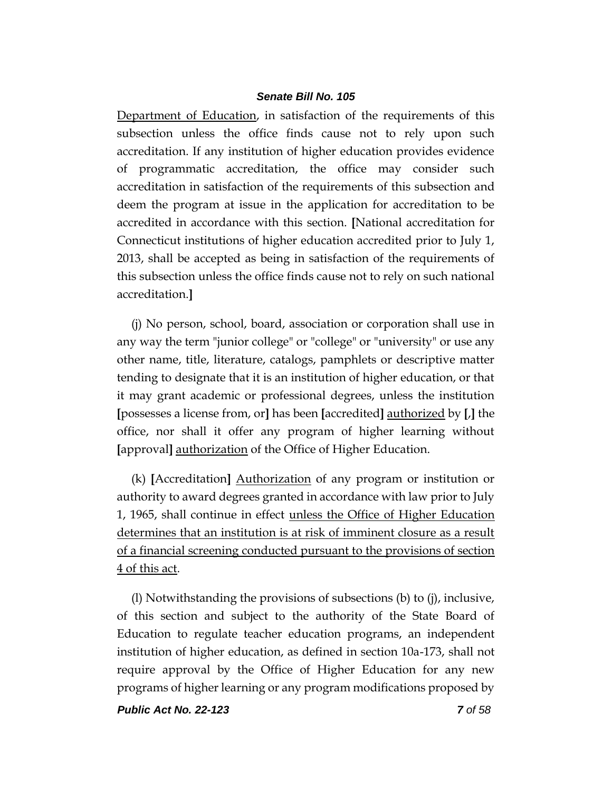Department of Education, in satisfaction of the requirements of this subsection unless the office finds cause not to rely upon such accreditation. If any institution of higher education provides evidence of programmatic accreditation, the office may consider such accreditation in satisfaction of the requirements of this subsection and deem the program at issue in the application for accreditation to be accredited in accordance with this section. **[**National accreditation for Connecticut institutions of higher education accredited prior to July 1, 2013, shall be accepted as being in satisfaction of the requirements of this subsection unless the office finds cause not to rely on such national accreditation.**]**

(j) No person, school, board, association or corporation shall use in any way the term "junior college" or "college" or "university" or use any other name, title, literature, catalogs, pamphlets or descriptive matter tending to designate that it is an institution of higher education, or that it may grant academic or professional degrees, unless the institution **[**possesses a license from, or**]** has been **[**accredited**]** authorized by **[**,**]** the office, nor shall it offer any program of higher learning without **[**approval**]** authorization of the Office of Higher Education.

(k) **[**Accreditation**]** Authorization of any program or institution or authority to award degrees granted in accordance with law prior to July 1, 1965, shall continue in effect unless the Office of Higher Education determines that an institution is at risk of imminent closure as a result of a financial screening conducted pursuant to the provisions of section 4 of this act.

(l) Notwithstanding the provisions of subsections (b) to (j), inclusive, of this section and subject to the authority of the State Board of Education to regulate teacher education programs, an independent institution of higher education, as defined in section 10a-173, shall not require approval by the Office of Higher Education for any new programs of higher learning or any program modifications proposed by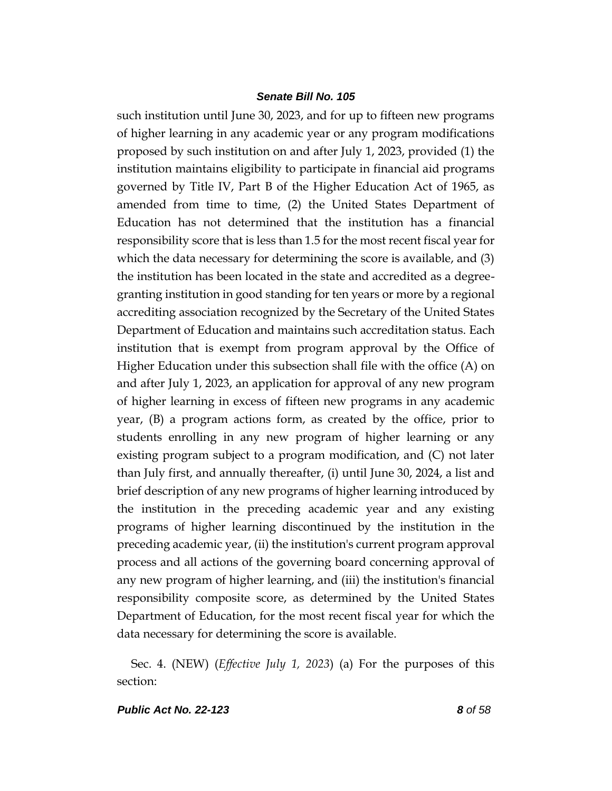such institution until June 30, 2023, and for up to fifteen new programs of higher learning in any academic year or any program modifications proposed by such institution on and after July 1, 2023, provided (1) the institution maintains eligibility to participate in financial aid programs governed by Title IV, Part B of the Higher Education Act of 1965, as amended from time to time, (2) the United States Department of Education has not determined that the institution has a financial responsibility score that is less than 1.5 for the most recent fiscal year for which the data necessary for determining the score is available, and (3) the institution has been located in the state and accredited as a degreegranting institution in good standing for ten years or more by a regional accrediting association recognized by the Secretary of the United States Department of Education and maintains such accreditation status. Each institution that is exempt from program approval by the Office of Higher Education under this subsection shall file with the office (A) on and after July 1, 2023, an application for approval of any new program of higher learning in excess of fifteen new programs in any academic year, (B) a program actions form, as created by the office, prior to students enrolling in any new program of higher learning or any existing program subject to a program modification, and (C) not later than July first, and annually thereafter, (i) until June 30, 2024, a list and brief description of any new programs of higher learning introduced by the institution in the preceding academic year and any existing programs of higher learning discontinued by the institution in the preceding academic year, (ii) the institution's current program approval process and all actions of the governing board concerning approval of any new program of higher learning, and (iii) the institution's financial responsibility composite score, as determined by the United States Department of Education, for the most recent fiscal year for which the data necessary for determining the score is available.

Sec. 4. (NEW) (*Effective July 1, 2023*) (a) For the purposes of this section: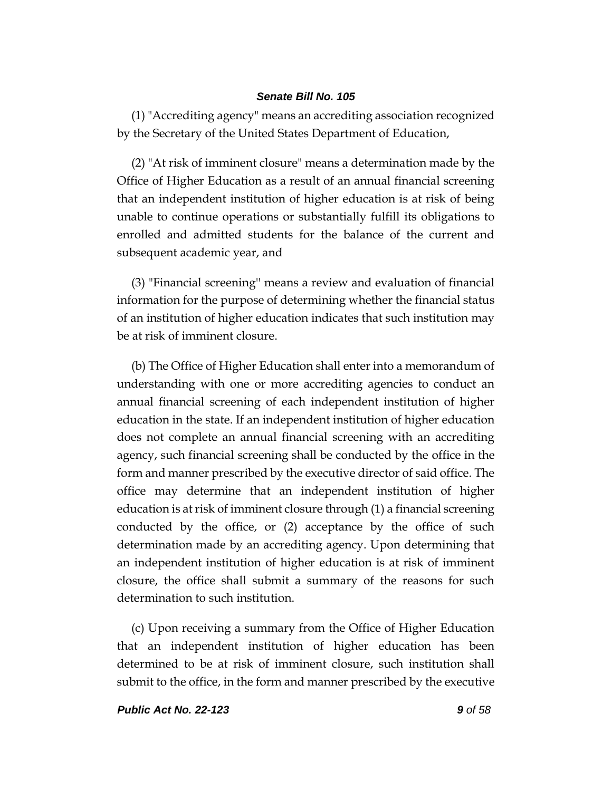(1) "Accrediting agency" means an accrediting association recognized by the Secretary of the United States Department of Education,

(2) "At risk of imminent closure" means a determination made by the Office of Higher Education as a result of an annual financial screening that an independent institution of higher education is at risk of being unable to continue operations or substantially fulfill its obligations to enrolled and admitted students for the balance of the current and subsequent academic year, and

(3) "Financial screening'' means a review and evaluation of financial information for the purpose of determining whether the financial status of an institution of higher education indicates that such institution may be at risk of imminent closure.

(b) The Office of Higher Education shall enter into a memorandum of understanding with one or more accrediting agencies to conduct an annual financial screening of each independent institution of higher education in the state. If an independent institution of higher education does not complete an annual financial screening with an accrediting agency, such financial screening shall be conducted by the office in the form and manner prescribed by the executive director of said office. The office may determine that an independent institution of higher education is at risk of imminent closure through (1) a financial screening conducted by the office, or (2) acceptance by the office of such determination made by an accrediting agency. Upon determining that an independent institution of higher education is at risk of imminent closure, the office shall submit a summary of the reasons for such determination to such institution.

(c) Upon receiving a summary from the Office of Higher Education that an independent institution of higher education has been determined to be at risk of imminent closure, such institution shall submit to the office, in the form and manner prescribed by the executive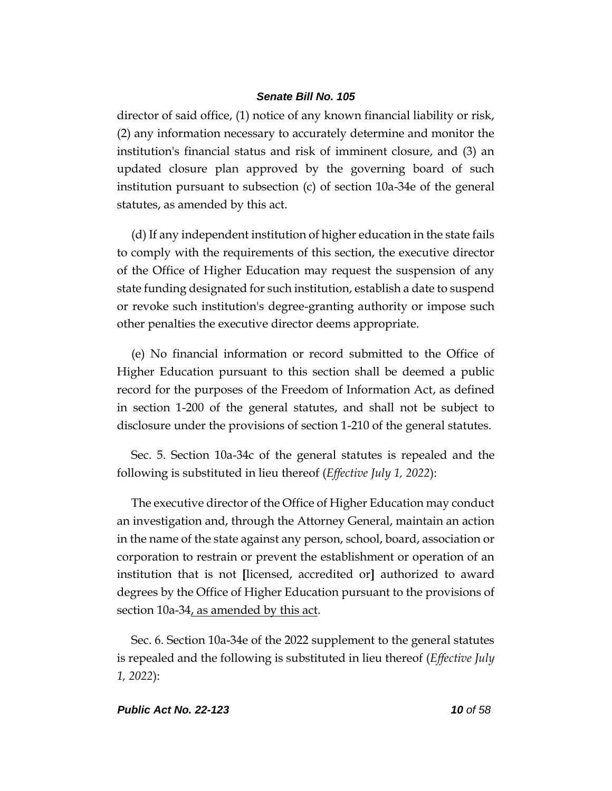director of said office, (1) notice of any known financial liability or risk, (2) any information necessary to accurately determine and monitor the institution's financial status and risk of imminent closure, and (3) an updated closure plan approved by the governing board of such institution pursuant to subsection (c) of section 10a-34e of the general statutes, as amended by this act.

(d) If any independent institution of higher education in the state fails to comply with the requirements of this section, the executive director of the Office of Higher Education may request the suspension of any state funding designated for such institution, establish a date to suspend or revoke such institution's degree-granting authority or impose such other penalties the executive director deems appropriate.

(e) No financial information or record submitted to the Office of Higher Education pursuant to this section shall be deemed a public record for the purposes of the Freedom of Information Act, as defined in section 1-200 of the general statutes, and shall not be subject to disclosure under the provisions of section 1-210 of the general statutes.

Sec. 5. Section 10a-34c of the general statutes is repealed and the following is substituted in lieu thereof (*Effective July 1, 2022*):

The executive director of the Office of Higher Education may conduct an investigation and, through the Attorney General, maintain an action in the name of the state against any person, school, board, association or corporation to restrain or prevent the establishment or operation of an institution that is not **[**licensed, accredited or**]** authorized to award degrees by the Office of Higher Education pursuant to the provisions of section 10a-34, as amended by this act.

Sec. 6. Section 10a-34e of the 2022 supplement to the general statutes is repealed and the following is substituted in lieu thereof (*Effective July 1, 2022*):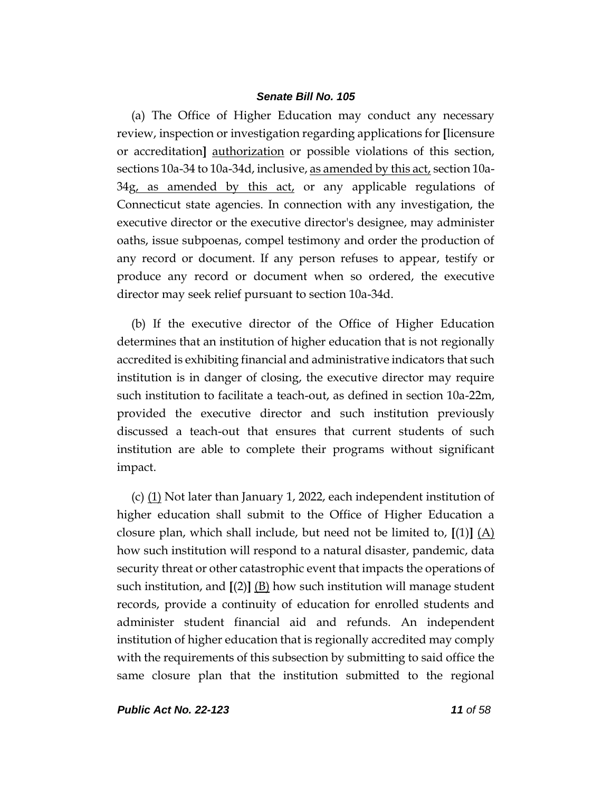(a) The Office of Higher Education may conduct any necessary review, inspection or investigation regarding applications for **[**licensure or accreditation**]** authorization or possible violations of this section, sections 10a-34 to 10a-34d, inclusive, <u>as amended by this act</u>, section 10a-34g, as amended by this act, or any applicable regulations of Connecticut state agencies. In connection with any investigation, the executive director or the executive director's designee, may administer oaths, issue subpoenas, compel testimony and order the production of any record or document. If any person refuses to appear, testify or produce any record or document when so ordered, the executive director may seek relief pursuant to section 10a-34d.

(b) If the executive director of the Office of Higher Education determines that an institution of higher education that is not regionally accredited is exhibiting financial and administrative indicators that such institution is in danger of closing, the executive director may require such institution to facilitate a teach-out, as defined in section 10a-22m, provided the executive director and such institution previously discussed a teach-out that ensures that current students of such institution are able to complete their programs without significant impact.

(c) (1) Not later than January 1, 2022, each independent institution of higher education shall submit to the Office of Higher Education a closure plan, which shall include, but need not be limited to, **[**(1)**]** (A) how such institution will respond to a natural disaster, pandemic, data security threat or other catastrophic event that impacts the operations of such institution, and **[**(2)**]** (B) how such institution will manage student records, provide a continuity of education for enrolled students and administer student financial aid and refunds. An independent institution of higher education that is regionally accredited may comply with the requirements of this subsection by submitting to said office the same closure plan that the institution submitted to the regional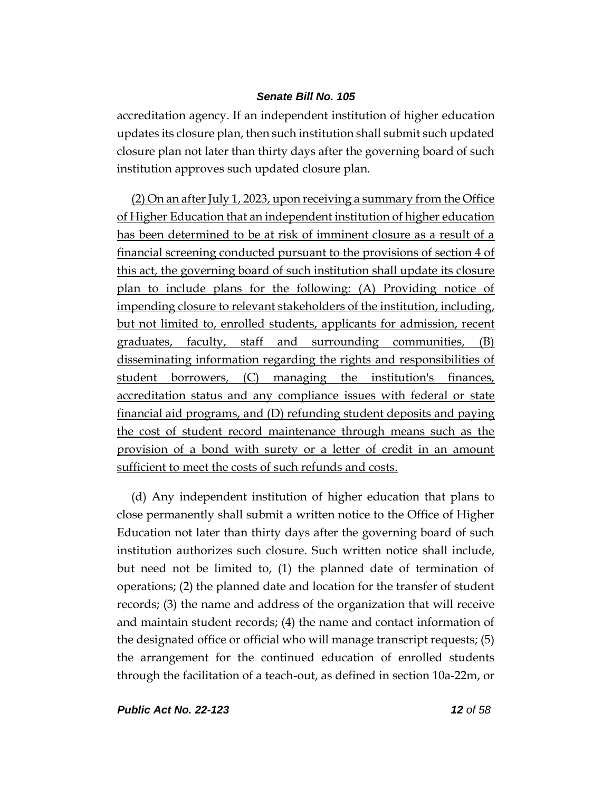accreditation agency. If an independent institution of higher education updates its closure plan, then such institution shall submit such updated closure plan not later than thirty days after the governing board of such institution approves such updated closure plan.

(2) On an after July 1, 2023, upon receiving a summary from the Office of Higher Education that an independent institution of higher education has been determined to be at risk of imminent closure as a result of a financial screening conducted pursuant to the provisions of section 4 of this act, the governing board of such institution shall update its closure plan to include plans for the following: (A) Providing notice of impending closure to relevant stakeholders of the institution, including, but not limited to, enrolled students, applicants for admission, recent graduates, faculty, staff and surrounding communities, (B) disseminating information regarding the rights and responsibilities of student borrowers, (C) managing the institution's finances, accreditation status and any compliance issues with federal or state financial aid programs, and (D) refunding student deposits and paying the cost of student record maintenance through means such as the provision of a bond with surety or a letter of credit in an amount sufficient to meet the costs of such refunds and costs.

(d) Any independent institution of higher education that plans to close permanently shall submit a written notice to the Office of Higher Education not later than thirty days after the governing board of such institution authorizes such closure. Such written notice shall include, but need not be limited to, (1) the planned date of termination of operations; (2) the planned date and location for the transfer of student records; (3) the name and address of the organization that will receive and maintain student records; (4) the name and contact information of the designated office or official who will manage transcript requests; (5) the arrangement for the continued education of enrolled students through the facilitation of a teach-out, as defined in section 10a-22m, or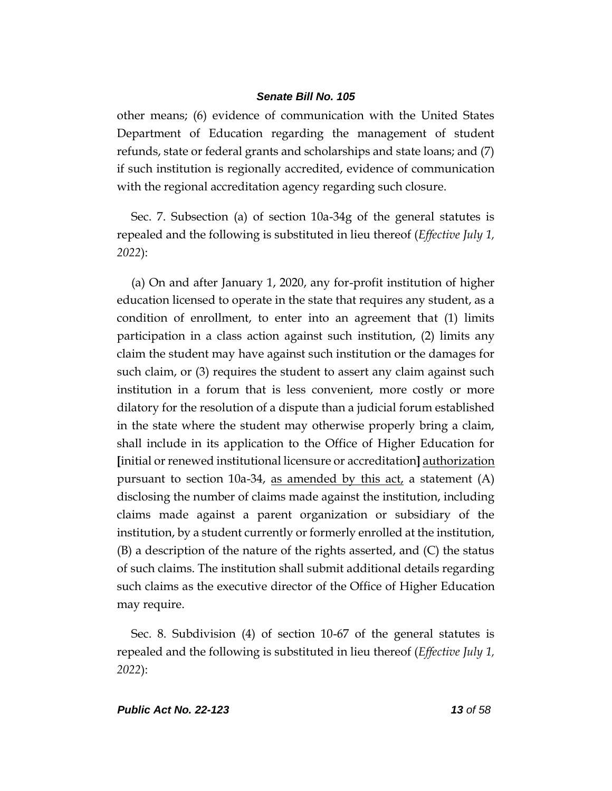other means; (6) evidence of communication with the United States Department of Education regarding the management of student refunds, state or federal grants and scholarships and state loans; and (7) if such institution is regionally accredited, evidence of communication with the regional accreditation agency regarding such closure.

Sec. 7. Subsection (a) of section 10a-34g of the general statutes is repealed and the following is substituted in lieu thereof (*Effective July 1, 2022*):

(a) On and after January 1, 2020, any for-profit institution of higher education licensed to operate in the state that requires any student, as a condition of enrollment, to enter into an agreement that (1) limits participation in a class action against such institution, (2) limits any claim the student may have against such institution or the damages for such claim, or (3) requires the student to assert any claim against such institution in a forum that is less convenient, more costly or more dilatory for the resolution of a dispute than a judicial forum established in the state where the student may otherwise properly bring a claim, shall include in its application to the Office of Higher Education for **[**initial or renewed institutional licensure or accreditation**]** authorization pursuant to section 10a-34, as amended by this act, a statement  $(A)$ disclosing the number of claims made against the institution, including claims made against a parent organization or subsidiary of the institution, by a student currently or formerly enrolled at the institution, (B) a description of the nature of the rights asserted, and (C) the status of such claims. The institution shall submit additional details regarding such claims as the executive director of the Office of Higher Education may require.

Sec. 8. Subdivision (4) of section 10-67 of the general statutes is repealed and the following is substituted in lieu thereof (*Effective July 1, 2022*):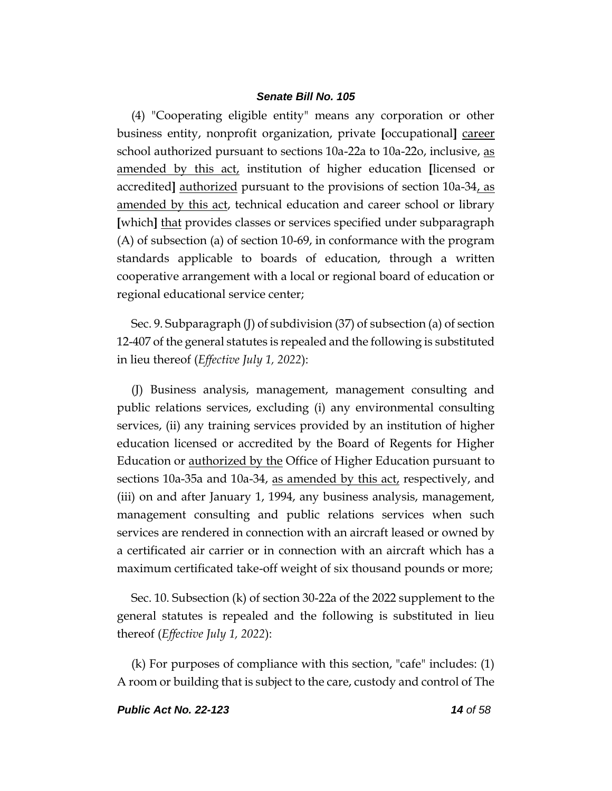(4) "Cooperating eligible entity" means any corporation or other business entity, nonprofit organization, private **[**occupational**]** career school authorized pursuant to sections 10a-22a to 10a-22o, inclusive, as amended by this act, institution of higher education **[**licensed or accredited**]** authorized pursuant to the provisions of section 10a-34, as amended by this act, technical education and career school or library **[**which**]** that provides classes or services specified under subparagraph (A) of subsection (a) of section 10-69, in conformance with the program standards applicable to boards of education, through a written cooperative arrangement with a local or regional board of education or regional educational service center;

Sec. 9. Subparagraph (J) of subdivision (37) of subsection (a) of section 12-407 of the general statutes is repealed and the following is substituted in lieu thereof (*Effective July 1, 2022*):

(J) Business analysis, management, management consulting and public relations services, excluding (i) any environmental consulting services, (ii) any training services provided by an institution of higher education licensed or accredited by the Board of Regents for Higher Education or authorized by the Office of Higher Education pursuant to sections 10a-35a and 10a-34, as amended by this act, respectively, and (iii) on and after January 1, 1994, any business analysis, management, management consulting and public relations services when such services are rendered in connection with an aircraft leased or owned by a certificated air carrier or in connection with an aircraft which has a maximum certificated take-off weight of six thousand pounds or more;

Sec. 10. Subsection (k) of section 30-22a of the 2022 supplement to the general statutes is repealed and the following is substituted in lieu thereof (*Effective July 1, 2022*):

(k) For purposes of compliance with this section, "cafe" includes: (1) A room or building that is subject to the care, custody and control of The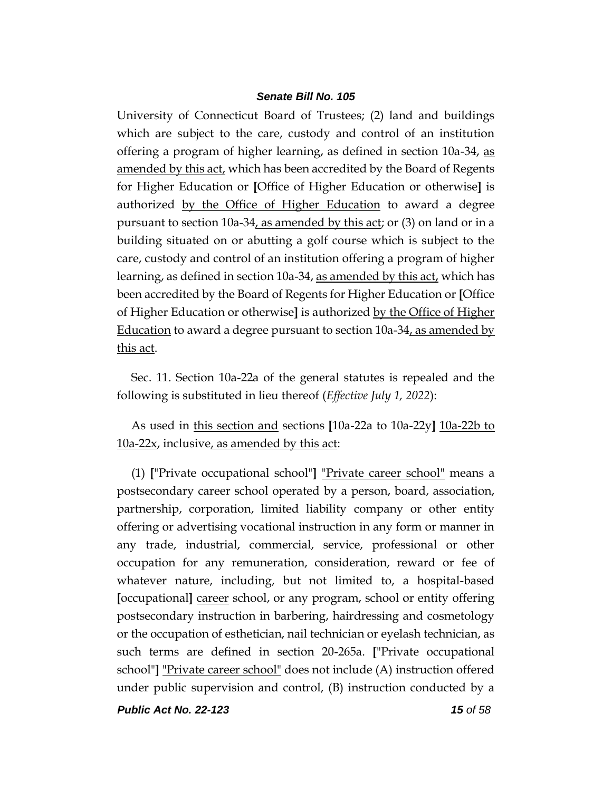University of Connecticut Board of Trustees; (2) land and buildings which are subject to the care, custody and control of an institution offering a program of higher learning, as defined in section 10a-34, as amended by this act, which has been accredited by the Board of Regents for Higher Education or **[**Office of Higher Education or otherwise**]** is authorized by the Office of Higher Education to award a degree pursuant to section 10a-34, as amended by this act; or (3) on land or in a building situated on or abutting a golf course which is subject to the care, custody and control of an institution offering a program of higher learning, as defined in section 10a-34, as amended by this act, which has been accredited by the Board of Regents for Higher Education or **[**Office of Higher Education or otherwise**]** is authorized by the Office of Higher Education to award a degree pursuant to section 10a-34, as amended by this act.

Sec. 11. Section 10a-22a of the general statutes is repealed and the following is substituted in lieu thereof (*Effective July 1, 2022*):

As used in this section and sections **[**10a-22a to 10a-22y**]** 10a-22b to  $10a-22x$ , inclusive, as amended by this act:

(1) **[**"Private occupational school"**]** "Private career school" means a postsecondary career school operated by a person, board, association, partnership, corporation, limited liability company or other entity offering or advertising vocational instruction in any form or manner in any trade, industrial, commercial, service, professional or other occupation for any remuneration, consideration, reward or fee of whatever nature, including, but not limited to, a hospital-based **[**occupational**]** career school, or any program, school or entity offering postsecondary instruction in barbering, hairdressing and cosmetology or the occupation of esthetician, nail technician or eyelash technician, as such terms are defined in section 20-265a. **[**"Private occupational school"**]** "Private career school" does not include (A) instruction offered under public supervision and control, (B) instruction conducted by a

*Public Act No. 22-123 15 of 58*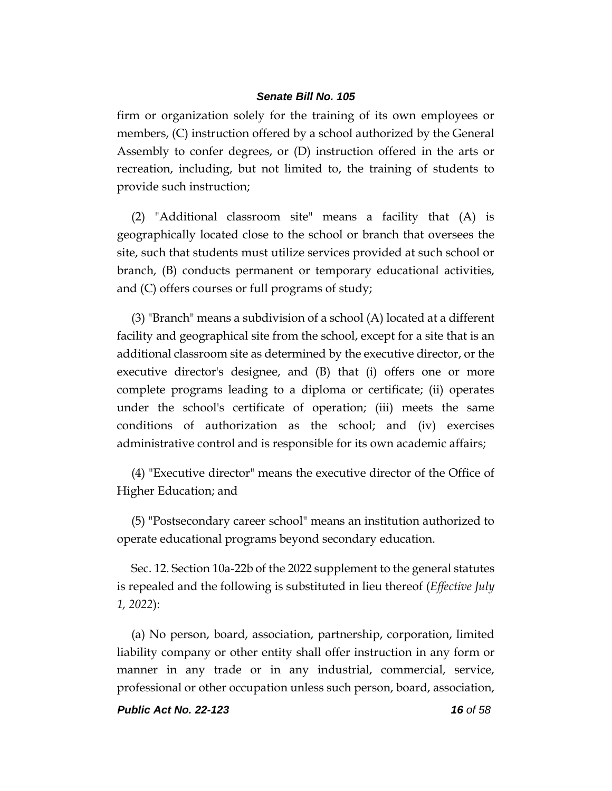firm or organization solely for the training of its own employees or members, (C) instruction offered by a school authorized by the General Assembly to confer degrees, or (D) instruction offered in the arts or recreation, including, but not limited to, the training of students to provide such instruction;

(2) "Additional classroom site" means a facility that (A) is geographically located close to the school or branch that oversees the site, such that students must utilize services provided at such school or branch, (B) conducts permanent or temporary educational activities, and (C) offers courses or full programs of study;

(3) "Branch" means a subdivision of a school (A) located at a different facility and geographical site from the school, except for a site that is an additional classroom site as determined by the executive director, or the executive director's designee, and (B) that (i) offers one or more complete programs leading to a diploma or certificate; (ii) operates under the school's certificate of operation; (iii) meets the same conditions of authorization as the school; and (iv) exercises administrative control and is responsible for its own academic affairs;

(4) "Executive director" means the executive director of the Office of Higher Education; and

(5) "Postsecondary career school" means an institution authorized to operate educational programs beyond secondary education.

Sec. 12. Section 10a-22b of the 2022 supplement to the general statutes is repealed and the following is substituted in lieu thereof (*Effective July 1, 2022*):

(a) No person, board, association, partnership, corporation, limited liability company or other entity shall offer instruction in any form or manner in any trade or in any industrial, commercial, service, professional or other occupation unless such person, board, association,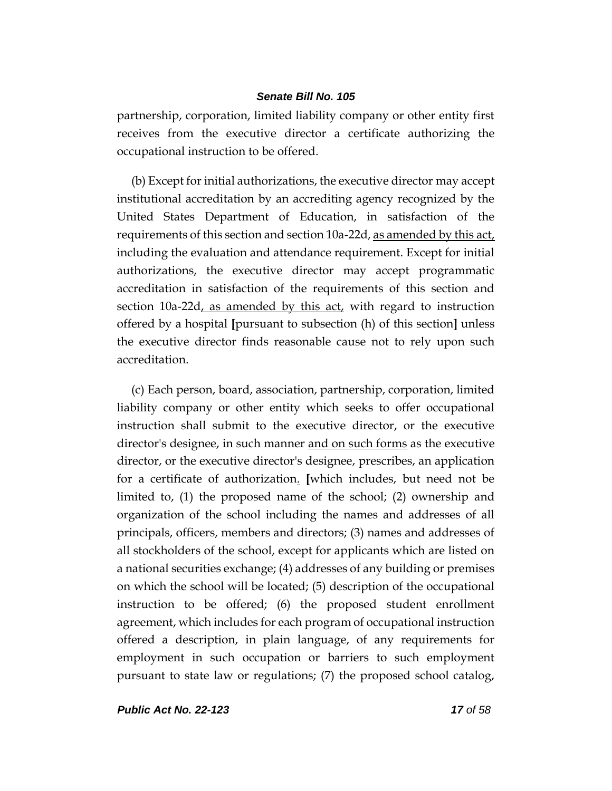partnership, corporation, limited liability company or other entity first receives from the executive director a certificate authorizing the occupational instruction to be offered.

(b) Except for initial authorizations, the executive director may accept institutional accreditation by an accrediting agency recognized by the United States Department of Education, in satisfaction of the requirements of this section and section 10a-22d, as amended by this act, including the evaluation and attendance requirement. Except for initial authorizations, the executive director may accept programmatic accreditation in satisfaction of the requirements of this section and section 10a-22d, as amended by this act, with regard to instruction offered by a hospital **[**pursuant to subsection (h) of this section**]** unless the executive director finds reasonable cause not to rely upon such accreditation.

(c) Each person, board, association, partnership, corporation, limited liability company or other entity which seeks to offer occupational instruction shall submit to the executive director, or the executive director's designee, in such manner and on such forms as the executive director, or the executive director's designee, prescribes, an application for a certificate of authorization. **[**which includes, but need not be limited to, (1) the proposed name of the school; (2) ownership and organization of the school including the names and addresses of all principals, officers, members and directors; (3) names and addresses of all stockholders of the school, except for applicants which are listed on a national securities exchange; (4) addresses of any building or premises on which the school will be located; (5) description of the occupational instruction to be offered; (6) the proposed student enrollment agreement, which includes for each program of occupational instruction offered a description, in plain language, of any requirements for employment in such occupation or barriers to such employment pursuant to state law or regulations; (7) the proposed school catalog,

*Public Act No. 22-123 17 of 58*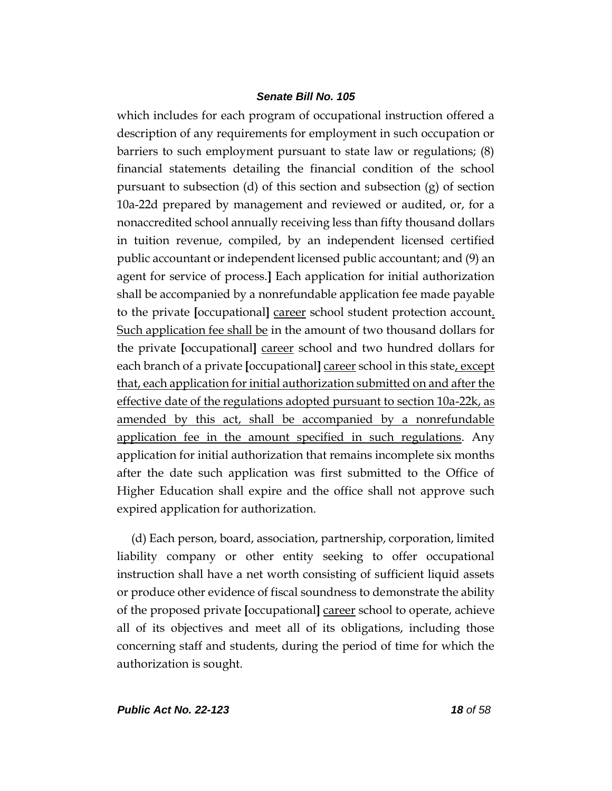which includes for each program of occupational instruction offered a description of any requirements for employment in such occupation or barriers to such employment pursuant to state law or regulations; (8) financial statements detailing the financial condition of the school pursuant to subsection (d) of this section and subsection (g) of section 10a-22d prepared by management and reviewed or audited, or, for a nonaccredited school annually receiving less than fifty thousand dollars in tuition revenue, compiled, by an independent licensed certified public accountant or independent licensed public accountant; and (9) an agent for service of process.**]** Each application for initial authorization shall be accompanied by a nonrefundable application fee made payable to the private **[**occupational**]** career school student protection account. Such application fee shall be in the amount of two thousand dollars for the private **[**occupational**]** career school and two hundred dollars for each branch of a private **[**occupational**]** career school in this state, except that, each application for initial authorization submitted on and after the effective date of the regulations adopted pursuant to section 10a-22k, as amended by this act, shall be accompanied by a nonrefundable application fee in the amount specified in such regulations. Any application for initial authorization that remains incomplete six months after the date such application was first submitted to the Office of Higher Education shall expire and the office shall not approve such expired application for authorization.

(d) Each person, board, association, partnership, corporation, limited liability company or other entity seeking to offer occupational instruction shall have a net worth consisting of sufficient liquid assets or produce other evidence of fiscal soundness to demonstrate the ability of the proposed private **[**occupational**]** career school to operate, achieve all of its objectives and meet all of its obligations, including those concerning staff and students, during the period of time for which the authorization is sought.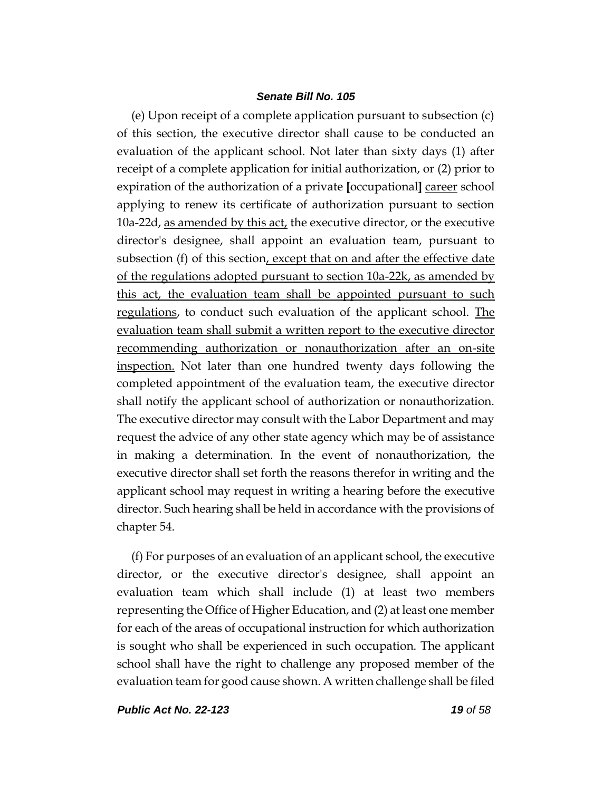(e) Upon receipt of a complete application pursuant to subsection (c) of this section, the executive director shall cause to be conducted an evaluation of the applicant school. Not later than sixty days (1) after receipt of a complete application for initial authorization, or (2) prior to expiration of the authorization of a private **[**occupational**]** career school applying to renew its certificate of authorization pursuant to section 10a-22d, as amended by this act, the executive director, or the executive director's designee, shall appoint an evaluation team, pursuant to subsection (f) of this section, except that on and after the effective date of the regulations adopted pursuant to section 10a-22k, as amended by this act, the evaluation team shall be appointed pursuant to such regulations, to conduct such evaluation of the applicant school. The evaluation team shall submit a written report to the executive director recommending authorization or nonauthorization after an on-site inspection. Not later than one hundred twenty days following the completed appointment of the evaluation team, the executive director shall notify the applicant school of authorization or nonauthorization. The executive director may consult with the Labor Department and may request the advice of any other state agency which may be of assistance in making a determination. In the event of nonauthorization, the executive director shall set forth the reasons therefor in writing and the applicant school may request in writing a hearing before the executive director. Such hearing shall be held in accordance with the provisions of chapter 54.

(f) For purposes of an evaluation of an applicant school, the executive director, or the executive director's designee, shall appoint an evaluation team which shall include (1) at least two members representing the Office of Higher Education, and (2) at least one member for each of the areas of occupational instruction for which authorization is sought who shall be experienced in such occupation. The applicant school shall have the right to challenge any proposed member of the evaluation team for good cause shown. A written challenge shall be filed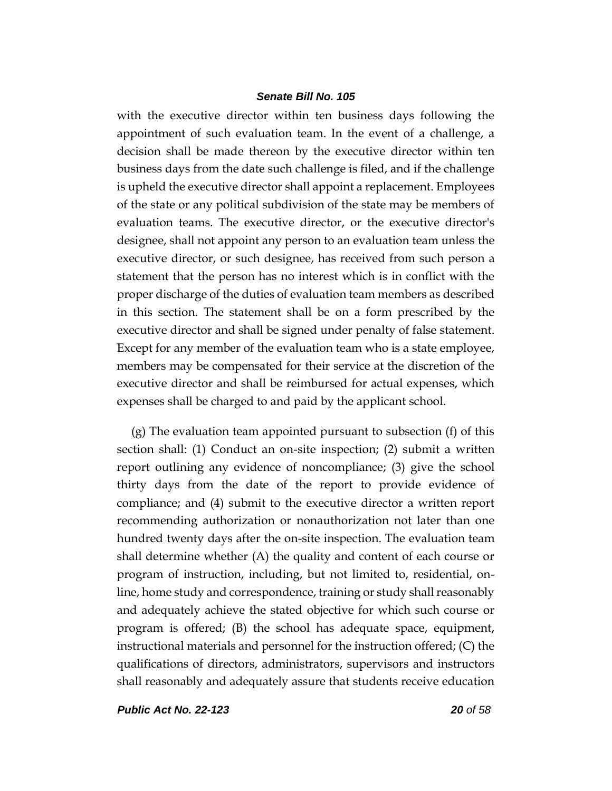with the executive director within ten business days following the appointment of such evaluation team. In the event of a challenge, a decision shall be made thereon by the executive director within ten business days from the date such challenge is filed, and if the challenge is upheld the executive director shall appoint a replacement. Employees of the state or any political subdivision of the state may be members of evaluation teams. The executive director, or the executive director's designee, shall not appoint any person to an evaluation team unless the executive director, or such designee, has received from such person a statement that the person has no interest which is in conflict with the proper discharge of the duties of evaluation team members as described in this section. The statement shall be on a form prescribed by the executive director and shall be signed under penalty of false statement. Except for any member of the evaluation team who is a state employee, members may be compensated for their service at the discretion of the executive director and shall be reimbursed for actual expenses, which expenses shall be charged to and paid by the applicant school.

(g) The evaluation team appointed pursuant to subsection (f) of this section shall: (1) Conduct an on-site inspection; (2) submit a written report outlining any evidence of noncompliance; (3) give the school thirty days from the date of the report to provide evidence of compliance; and (4) submit to the executive director a written report recommending authorization or nonauthorization not later than one hundred twenty days after the on-site inspection. The evaluation team shall determine whether (A) the quality and content of each course or program of instruction, including, but not limited to, residential, online, home study and correspondence, training or study shall reasonably and adequately achieve the stated objective for which such course or program is offered; (B) the school has adequate space, equipment, instructional materials and personnel for the instruction offered; (C) the qualifications of directors, administrators, supervisors and instructors shall reasonably and adequately assure that students receive education

*Public Act No. 22-123 20 of 58*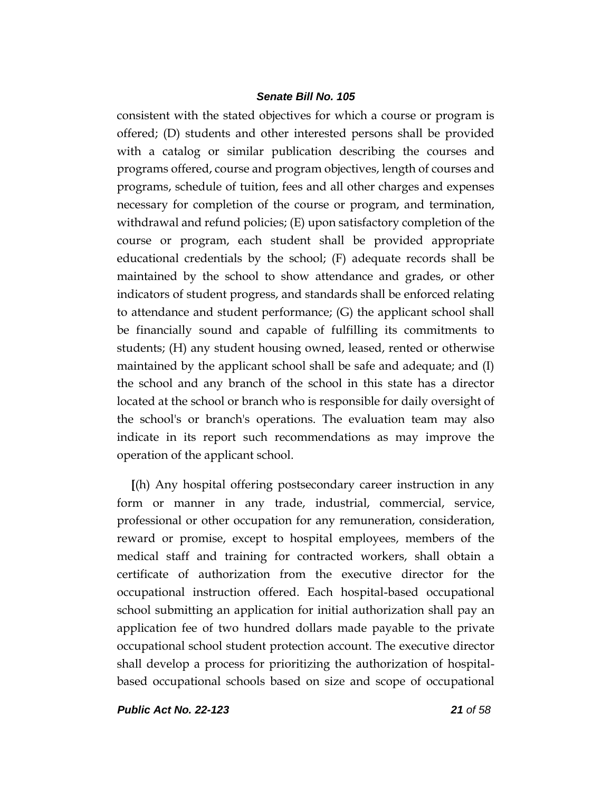consistent with the stated objectives for which a course or program is offered; (D) students and other interested persons shall be provided with a catalog or similar publication describing the courses and programs offered, course and program objectives, length of courses and programs, schedule of tuition, fees and all other charges and expenses necessary for completion of the course or program, and termination, withdrawal and refund policies; (E) upon satisfactory completion of the course or program, each student shall be provided appropriate educational credentials by the school; (F) adequate records shall be maintained by the school to show attendance and grades, or other indicators of student progress, and standards shall be enforced relating to attendance and student performance; (G) the applicant school shall be financially sound and capable of fulfilling its commitments to students; (H) any student housing owned, leased, rented or otherwise maintained by the applicant school shall be safe and adequate; and (I) the school and any branch of the school in this state has a director located at the school or branch who is responsible for daily oversight of the school's or branch's operations. The evaluation team may also indicate in its report such recommendations as may improve the operation of the applicant school.

**[**(h) Any hospital offering postsecondary career instruction in any form or manner in any trade, industrial, commercial, service, professional or other occupation for any remuneration, consideration, reward or promise, except to hospital employees, members of the medical staff and training for contracted workers, shall obtain a certificate of authorization from the executive director for the occupational instruction offered. Each hospital-based occupational school submitting an application for initial authorization shall pay an application fee of two hundred dollars made payable to the private occupational school student protection account. The executive director shall develop a process for prioritizing the authorization of hospitalbased occupational schools based on size and scope of occupational

*Public Act No. 22-123 21 of 58*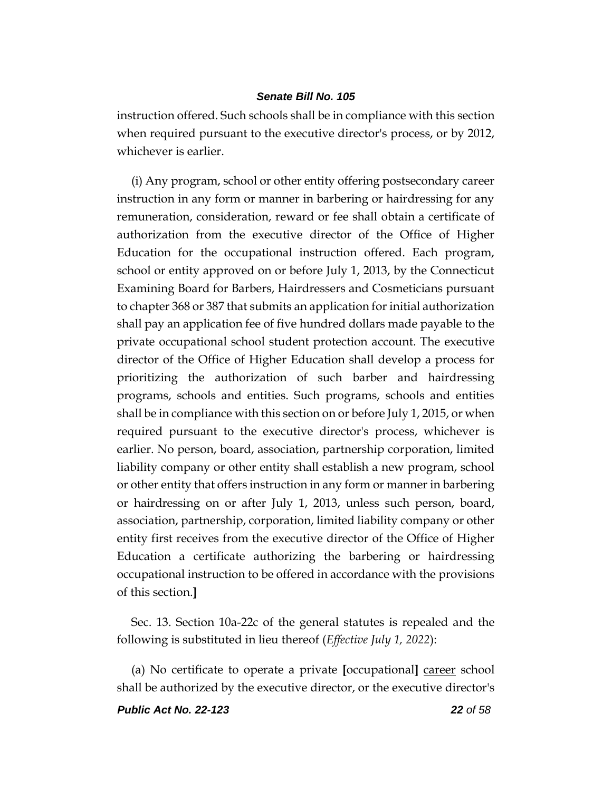instruction offered. Such schools shall be in compliance with this section when required pursuant to the executive director's process, or by 2012, whichever is earlier.

(i) Any program, school or other entity offering postsecondary career instruction in any form or manner in barbering or hairdressing for any remuneration, consideration, reward or fee shall obtain a certificate of authorization from the executive director of the Office of Higher Education for the occupational instruction offered. Each program, school or entity approved on or before July 1, 2013, by the Connecticut Examining Board for Barbers, Hairdressers and Cosmeticians pursuant to chapter 368 or 387 that submits an application for initial authorization shall pay an application fee of five hundred dollars made payable to the private occupational school student protection account. The executive director of the Office of Higher Education shall develop a process for prioritizing the authorization of such barber and hairdressing programs, schools and entities. Such programs, schools and entities shall be in compliance with this section on or before July 1, 2015, or when required pursuant to the executive director's process, whichever is earlier. No person, board, association, partnership corporation, limited liability company or other entity shall establish a new program, school or other entity that offers instruction in any form or manner in barbering or hairdressing on or after July 1, 2013, unless such person, board, association, partnership, corporation, limited liability company or other entity first receives from the executive director of the Office of Higher Education a certificate authorizing the barbering or hairdressing occupational instruction to be offered in accordance with the provisions of this section.**]**

Sec. 13. Section 10a-22c of the general statutes is repealed and the following is substituted in lieu thereof (*Effective July 1, 2022*):

(a) No certificate to operate a private **[**occupational**]** career school shall be authorized by the executive director, or the executive director's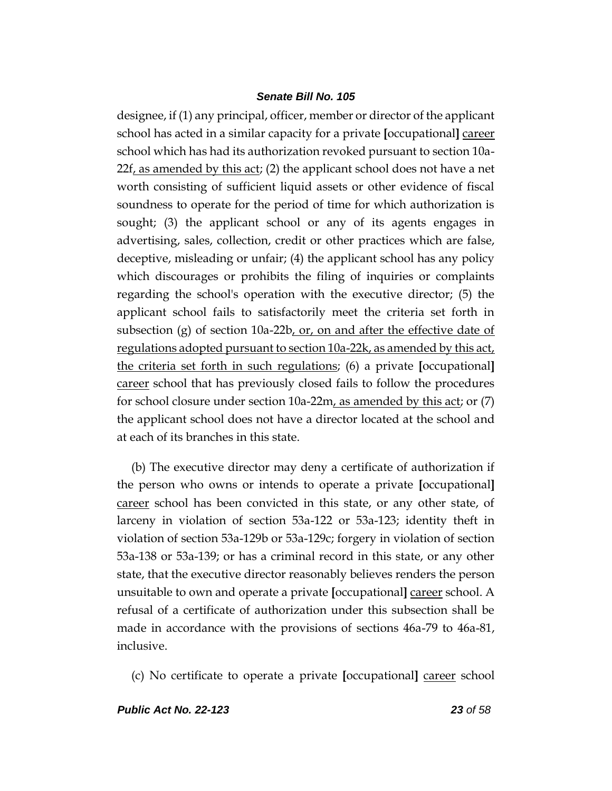designee, if (1) any principal, officer, member or director of the applicant school has acted in a similar capacity for a private **[**occupational**]** career school which has had its authorization revoked pursuant to section 10a- $22f$ , as amended by this act; (2) the applicant school does not have a net worth consisting of sufficient liquid assets or other evidence of fiscal soundness to operate for the period of time for which authorization is sought; (3) the applicant school or any of its agents engages in advertising, sales, collection, credit or other practices which are false, deceptive, misleading or unfair; (4) the applicant school has any policy which discourages or prohibits the filing of inquiries or complaints regarding the school's operation with the executive director; (5) the applicant school fails to satisfactorily meet the criteria set forth in subsection (g) of section 10a-22b, or, on and after the effective date of regulations adopted pursuant to section 10a-22k, as amended by this act, the criteria set forth in such regulations; (6) a private **[**occupational**]** career school that has previously closed fails to follow the procedures for school closure under section 10a-22m, as amended by this act; or (7) the applicant school does not have a director located at the school and at each of its branches in this state.

(b) The executive director may deny a certificate of authorization if the person who owns or intends to operate a private **[**occupational**]** career school has been convicted in this state, or any other state, of larceny in violation of section 53a-122 or 53a-123; identity theft in violation of section 53a-129b or 53a-129c; forgery in violation of section 53a-138 or 53a-139; or has a criminal record in this state, or any other state, that the executive director reasonably believes renders the person unsuitable to own and operate a private **[**occupational**]** career school. A refusal of a certificate of authorization under this subsection shall be made in accordance with the provisions of sections 46a-79 to 46a-81, inclusive.

(c) No certificate to operate a private **[**occupational**]** career school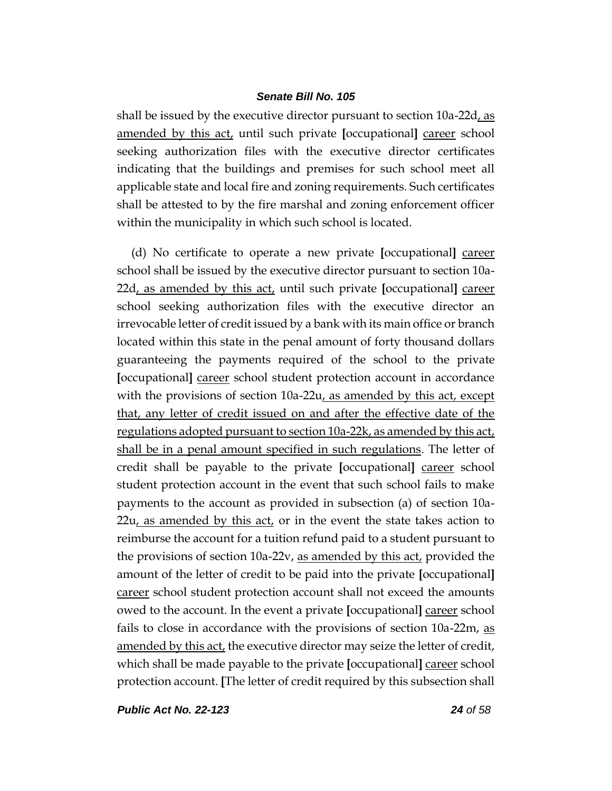shall be issued by the executive director pursuant to section 10a-22d, as amended by this act, until such private **[**occupational**]** career school seeking authorization files with the executive director certificates indicating that the buildings and premises for such school meet all applicable state and local fire and zoning requirements. Such certificates shall be attested to by the fire marshal and zoning enforcement officer within the municipality in which such school is located.

(d) No certificate to operate a new private **[**occupational**]** career school shall be issued by the executive director pursuant to section 10a-22d, as amended by this act, until such private **[**occupational**]** career school seeking authorization files with the executive director an irrevocable letter of credit issued by a bank with its main office or branch located within this state in the penal amount of forty thousand dollars guaranteeing the payments required of the school to the private **[**occupational**]** career school student protection account in accordance with the provisions of section 10a-22u, as amended by this act, except that, any letter of credit issued on and after the effective date of the regulations adopted pursuant to section 10a-22k, as amended by this act, shall be in a penal amount specified in such regulations. The letter of credit shall be payable to the private **[**occupational**]** career school student protection account in the event that such school fails to make payments to the account as provided in subsection (a) of section 10a- $22u$ , as amended by this act, or in the event the state takes action to reimburse the account for a tuition refund paid to a student pursuant to the provisions of section 10a-22v, as amended by this act, provided the amount of the letter of credit to be paid into the private **[**occupational**]** career school student protection account shall not exceed the amounts owed to the account. In the event a private **[**occupational**]** career school fails to close in accordance with the provisions of section 10a-22m, as amended by this act, the executive director may seize the letter of credit, which shall be made payable to the private **[**occupational**]** career school protection account. **[**The letter of credit required by this subsection shall

*Public Act No. 22-123 24 of 58*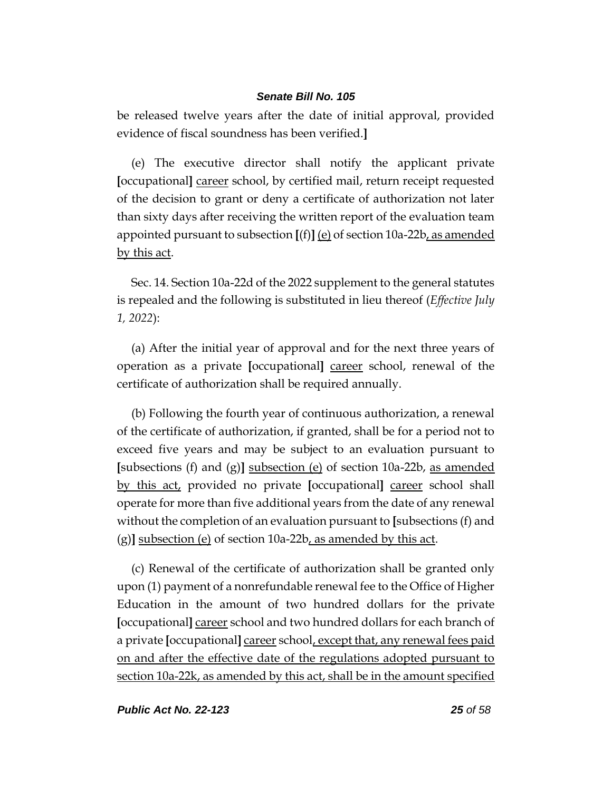be released twelve years after the date of initial approval, provided evidence of fiscal soundness has been verified.**]**

(e) The executive director shall notify the applicant private **[**occupational**]** career school, by certified mail, return receipt requested of the decision to grant or deny a certificate of authorization not later than sixty days after receiving the written report of the evaluation team appointed pursuant to subsection **[**(f)**]** (e) of section 10a-22b, as amended by this act.

Sec. 14. Section 10a-22d of the 2022 supplement to the general statutes is repealed and the following is substituted in lieu thereof (*Effective July 1, 2022*):

(a) After the initial year of approval and for the next three years of operation as a private **[**occupational**]** career school, renewal of the certificate of authorization shall be required annually.

(b) Following the fourth year of continuous authorization, a renewal of the certificate of authorization, if granted, shall be for a period not to exceed five years and may be subject to an evaluation pursuant to **[**subsections (f) and (g)**]** subsection (e) of section 10a-22b, as amended by this act, provided no private **[**occupational**]** career school shall operate for more than five additional years from the date of any renewal without the completion of an evaluation pursuant to **[**subsections (f) and (g)**]** subsection (e) of section 10a-22b, as amended by this act.

(c) Renewal of the certificate of authorization shall be granted only upon (1) payment of a nonrefundable renewal fee to the Office of Higher Education in the amount of two hundred dollars for the private **[**occupational**]** career school and two hundred dollars for each branch of a private **[**occupational**]** career school, except that, any renewal fees paid on and after the effective date of the regulations adopted pursuant to section 10a-22k, as amended by this act, shall be in the amount specified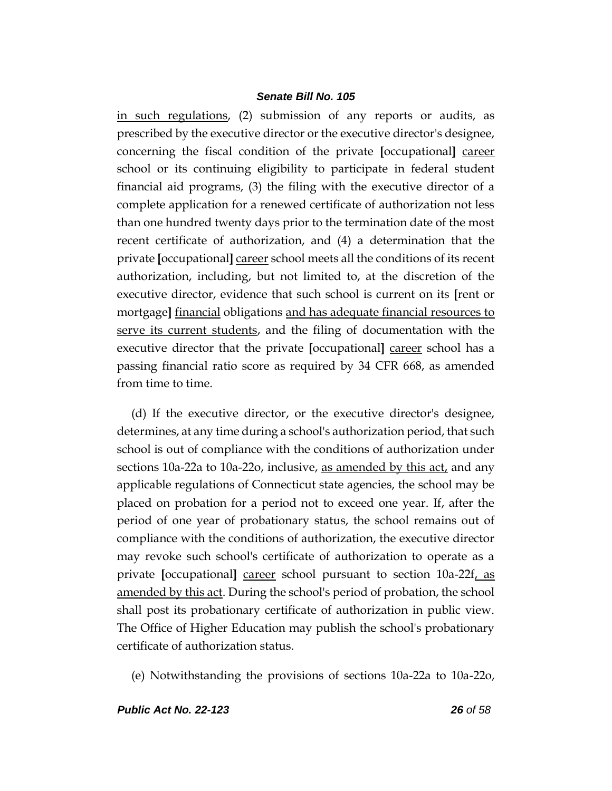in such regulations, (2) submission of any reports or audits, as prescribed by the executive director or the executive director's designee, concerning the fiscal condition of the private **[**occupational**]** career school or its continuing eligibility to participate in federal student financial aid programs, (3) the filing with the executive director of a complete application for a renewed certificate of authorization not less than one hundred twenty days prior to the termination date of the most recent certificate of authorization, and (4) a determination that the private **[**occupational**]** career school meets all the conditions of its recent authorization, including, but not limited to, at the discretion of the executive director, evidence that such school is current on its **[**rent or mortgage**]** financial obligations and has adequate financial resources to serve its current students, and the filing of documentation with the executive director that the private **[**occupational**]** career school has a passing financial ratio score as required by 34 CFR 668, as amended from time to time.

(d) If the executive director, or the executive director's designee, determines, at any time during a school's authorization period, that such school is out of compliance with the conditions of authorization under sections 10a-22a to 10a-22o, inclusive, as amended by this act, and any applicable regulations of Connecticut state agencies, the school may be placed on probation for a period not to exceed one year. If, after the period of one year of probationary status, the school remains out of compliance with the conditions of authorization, the executive director may revoke such school's certificate of authorization to operate as a private **[**occupational**]** career school pursuant to section 10a-22f, as amended by this act. During the school's period of probation, the school shall post its probationary certificate of authorization in public view. The Office of Higher Education may publish the school's probationary certificate of authorization status.

(e) Notwithstanding the provisions of sections 10a-22a to 10a-22o,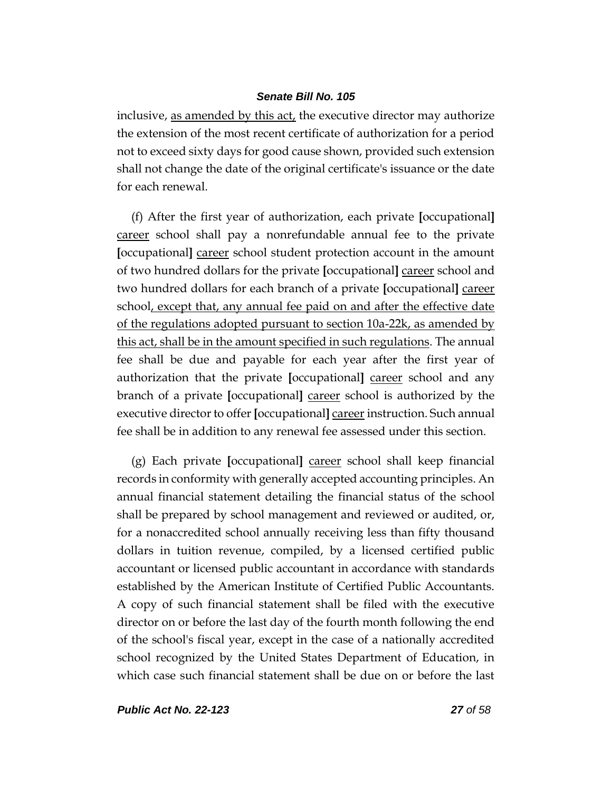inclusive, as amended by this act, the executive director may authorize the extension of the most recent certificate of authorization for a period not to exceed sixty days for good cause shown, provided such extension shall not change the date of the original certificate's issuance or the date for each renewal.

(f) After the first year of authorization, each private **[**occupational**]** career school shall pay a nonrefundable annual fee to the private **[**occupational**]** career school student protection account in the amount of two hundred dollars for the private **[**occupational**]** career school and two hundred dollars for each branch of a private **[**occupational**]** career school, except that, any annual fee paid on and after the effective date of the regulations adopted pursuant to section 10a-22k, as amended by this act, shall be in the amount specified in such regulations. The annual fee shall be due and payable for each year after the first year of authorization that the private **[**occupational**]** career school and any branch of a private **[**occupational**]** career school is authorized by the executive director to offer **[**occupational**]** career instruction. Such annual fee shall be in addition to any renewal fee assessed under this section.

(g) Each private **[**occupational**]** career school shall keep financial records in conformity with generally accepted accounting principles. An annual financial statement detailing the financial status of the school shall be prepared by school management and reviewed or audited, or, for a nonaccredited school annually receiving less than fifty thousand dollars in tuition revenue, compiled, by a licensed certified public accountant or licensed public accountant in accordance with standards established by the American Institute of Certified Public Accountants. A copy of such financial statement shall be filed with the executive director on or before the last day of the fourth month following the end of the school's fiscal year, except in the case of a nationally accredited school recognized by the United States Department of Education, in which case such financial statement shall be due on or before the last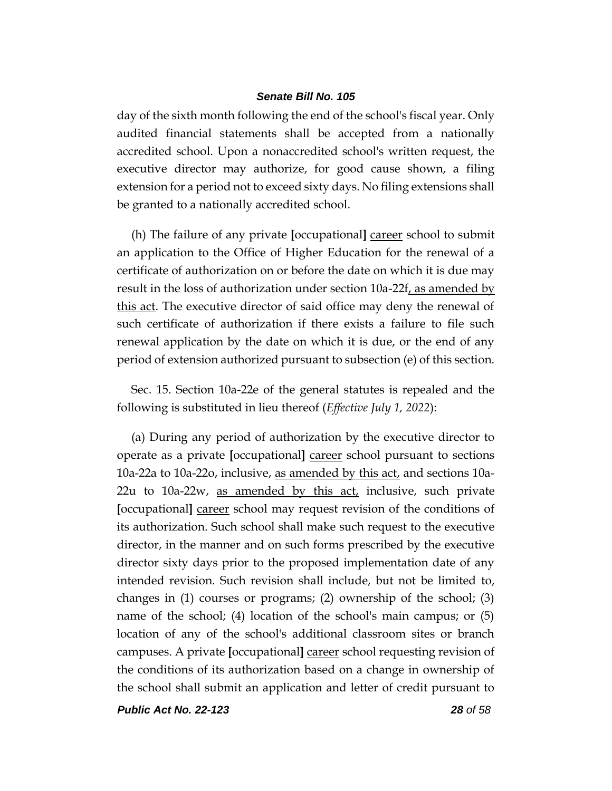day of the sixth month following the end of the school's fiscal year. Only audited financial statements shall be accepted from a nationally accredited school. Upon a nonaccredited school's written request, the executive director may authorize, for good cause shown, a filing extension for a period not to exceed sixty days. No filing extensions shall be granted to a nationally accredited school.

(h) The failure of any private **[**occupational**]** career school to submit an application to the Office of Higher Education for the renewal of a certificate of authorization on or before the date on which it is due may result in the loss of authorization under section 10a-22f, as amended by this act. The executive director of said office may deny the renewal of such certificate of authorization if there exists a failure to file such renewal application by the date on which it is due, or the end of any period of extension authorized pursuant to subsection (e) of this section.

Sec. 15. Section 10a-22e of the general statutes is repealed and the following is substituted in lieu thereof (*Effective July 1, 2022*):

(a) During any period of authorization by the executive director to operate as a private **[**occupational**]** career school pursuant to sections 10a-22a to 10a-22o, inclusive, as amended by this act, and sections 10a-22u to 10a-22w, as amended by this act, inclusive, such private **[**occupational**]** career school may request revision of the conditions of its authorization. Such school shall make such request to the executive director, in the manner and on such forms prescribed by the executive director sixty days prior to the proposed implementation date of any intended revision. Such revision shall include, but not be limited to, changes in (1) courses or programs; (2) ownership of the school; (3) name of the school; (4) location of the school's main campus; or (5) location of any of the school's additional classroom sites or branch campuses. A private **[**occupational**]** career school requesting revision of the conditions of its authorization based on a change in ownership of the school shall submit an application and letter of credit pursuant to

*Public Act No. 22-123 28 of 58*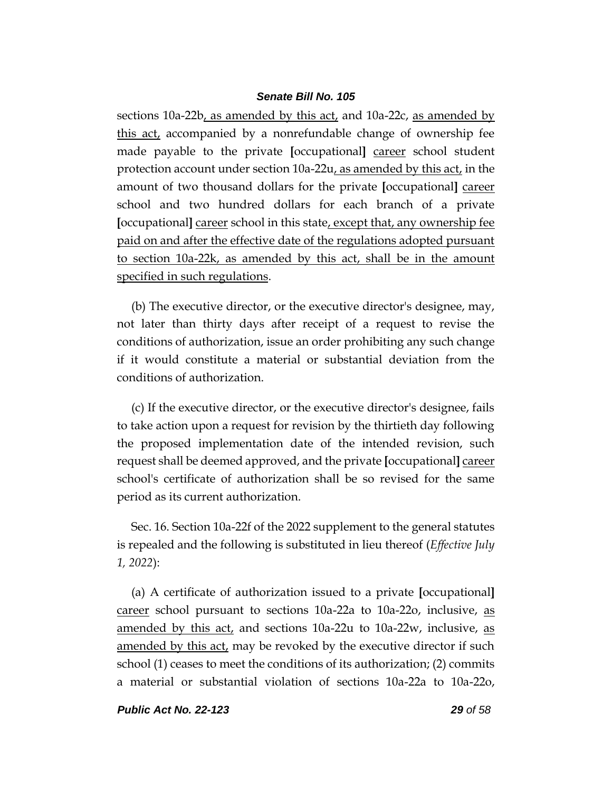sections 10a-22b, as amended by this act, and 10a-22c, as amended by this act, accompanied by a nonrefundable change of ownership fee made payable to the private **[**occupational**]** career school student protection account under section 10a-22u, as amended by this act, in the amount of two thousand dollars for the private **[**occupational**]** career school and two hundred dollars for each branch of a private **[**occupational**]** career school in this state, except that, any ownership fee paid on and after the effective date of the regulations adopted pursuant to section 10a-22k, as amended by this act, shall be in the amount specified in such regulations.

(b) The executive director, or the executive director's designee, may, not later than thirty days after receipt of a request to revise the conditions of authorization, issue an order prohibiting any such change if it would constitute a material or substantial deviation from the conditions of authorization.

(c) If the executive director, or the executive director's designee, fails to take action upon a request for revision by the thirtieth day following the proposed implementation date of the intended revision, such request shall be deemed approved, and the private **[**occupational**]** career school's certificate of authorization shall be so revised for the same period as its current authorization.

Sec. 16. Section 10a-22f of the 2022 supplement to the general statutes is repealed and the following is substituted in lieu thereof (*Effective July 1, 2022*):

(a) A certificate of authorization issued to a private **[**occupational**]** career school pursuant to sections 10a-22a to 10a-22o, inclusive, as amended by this act, and sections 10a-22u to 10a-22w, inclusive, as amended by this act, may be revoked by the executive director if such school (1) ceases to meet the conditions of its authorization; (2) commits a material or substantial violation of sections 10a-22a to 10a-22o,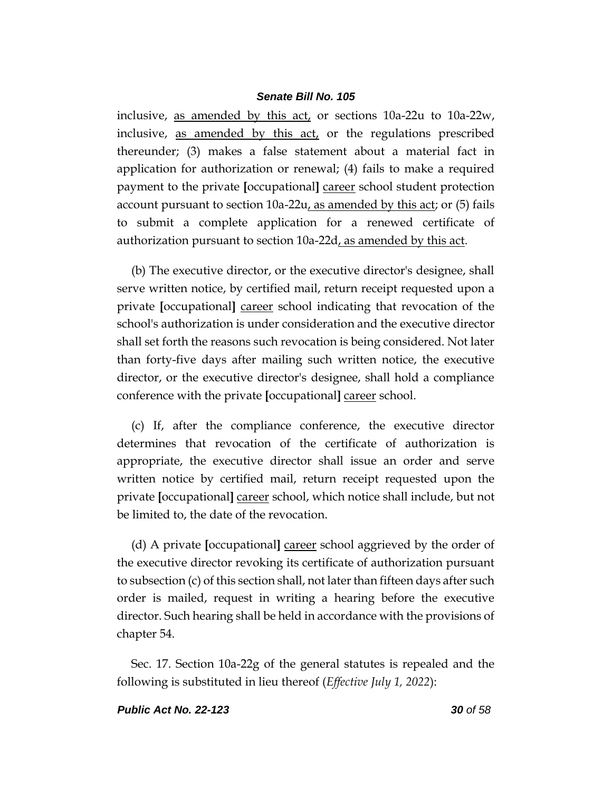inclusive, as amended by this act, or sections 10a-22u to 10a-22w, inclusive, as amended by this act, or the regulations prescribed thereunder; (3) makes a false statement about a material fact in application for authorization or renewal; (4) fails to make a required payment to the private **[**occupational**]** career school student protection account pursuant to section 10a-22u, as amended by this act; or (5) fails to submit a complete application for a renewed certificate of authorization pursuant to section 10a-22d, as amended by this act.

(b) The executive director, or the executive director's designee, shall serve written notice, by certified mail, return receipt requested upon a private **[**occupational**]** career school indicating that revocation of the school's authorization is under consideration and the executive director shall set forth the reasons such revocation is being considered. Not later than forty-five days after mailing such written notice, the executive director, or the executive director's designee, shall hold a compliance conference with the private **[**occupational**]** career school.

(c) If, after the compliance conference, the executive director determines that revocation of the certificate of authorization is appropriate, the executive director shall issue an order and serve written notice by certified mail, return receipt requested upon the private **[**occupational**]** career school, which notice shall include, but not be limited to, the date of the revocation.

(d) A private **[**occupational**]** career school aggrieved by the order of the executive director revoking its certificate of authorization pursuant to subsection (c) of this section shall, not later than fifteen days after such order is mailed, request in writing a hearing before the executive director. Such hearing shall be held in accordance with the provisions of chapter 54.

Sec. 17. Section 10a-22g of the general statutes is repealed and the following is substituted in lieu thereof (*Effective July 1, 2022*):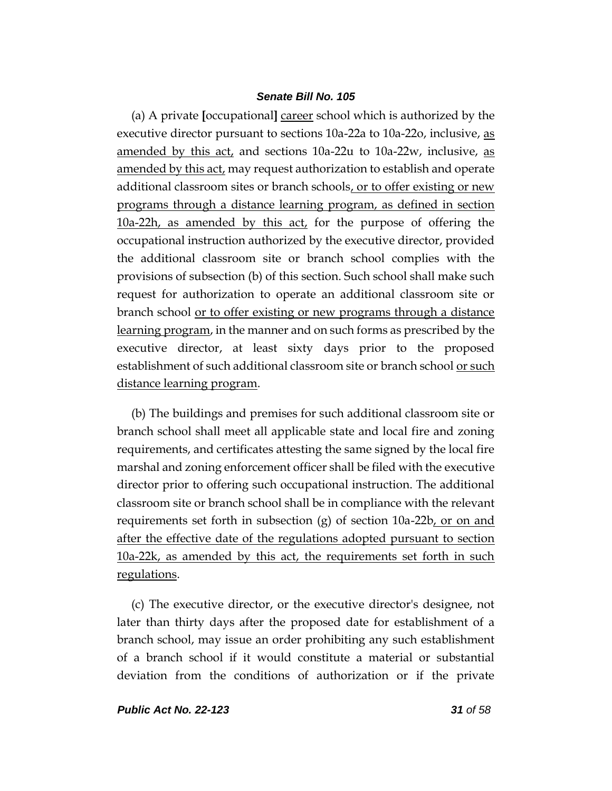(a) A private **[**occupational**]** career school which is authorized by the executive director pursuant to sections 10a-22a to 10a-22o, inclusive, as amended by this act, and sections 10a-22u to 10a-22w, inclusive, as amended by this act, may request authorization to establish and operate additional classroom sites or branch schools, or to offer existing or new programs through a distance learning program, as defined in section 10a-22h, as amended by this act, for the purpose of offering the occupational instruction authorized by the executive director, provided the additional classroom site or branch school complies with the provisions of subsection (b) of this section. Such school shall make such request for authorization to operate an additional classroom site or branch school or to offer existing or new programs through a distance learning program, in the manner and on such forms as prescribed by the executive director, at least sixty days prior to the proposed establishment of such additional classroom site or branch school <u>or such</u> distance learning program.

(b) The buildings and premises for such additional classroom site or branch school shall meet all applicable state and local fire and zoning requirements, and certificates attesting the same signed by the local fire marshal and zoning enforcement officer shall be filed with the executive director prior to offering such occupational instruction. The additional classroom site or branch school shall be in compliance with the relevant requirements set forth in subsection (g) of section 10a-22b, or on and after the effective date of the regulations adopted pursuant to section 10a-22k, as amended by this act, the requirements set forth in such regulations.

(c) The executive director, or the executive director's designee, not later than thirty days after the proposed date for establishment of a branch school, may issue an order prohibiting any such establishment of a branch school if it would constitute a material or substantial deviation from the conditions of authorization or if the private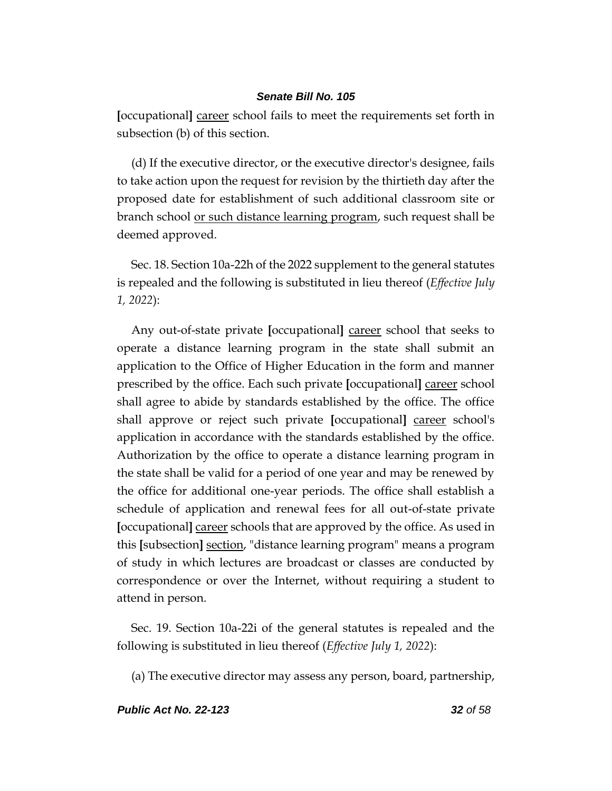**[**occupational**]** career school fails to meet the requirements set forth in subsection (b) of this section.

(d) If the executive director, or the executive director's designee, fails to take action upon the request for revision by the thirtieth day after the proposed date for establishment of such additional classroom site or branch school or such distance learning program, such request shall be deemed approved.

Sec. 18. Section 10a-22h of the 2022 supplement to the general statutes is repealed and the following is substituted in lieu thereof (*Effective July 1, 2022*):

Any out-of-state private **[**occupational**]** career school that seeks to operate a distance learning program in the state shall submit an application to the Office of Higher Education in the form and manner prescribed by the office. Each such private **[**occupational**]** career school shall agree to abide by standards established by the office. The office shall approve or reject such private **[**occupational**]** career school's application in accordance with the standards established by the office. Authorization by the office to operate a distance learning program in the state shall be valid for a period of one year and may be renewed by the office for additional one-year periods. The office shall establish a schedule of application and renewal fees for all out-of-state private **[**occupational**]** career schools that are approved by the office. As used in this **[**subsection**]** section, "distance learning program" means a program of study in which lectures are broadcast or classes are conducted by correspondence or over the Internet, without requiring a student to attend in person.

Sec. 19. Section 10a-22i of the general statutes is repealed and the following is substituted in lieu thereof (*Effective July 1, 2022*):

(a) The executive director may assess any person, board, partnership,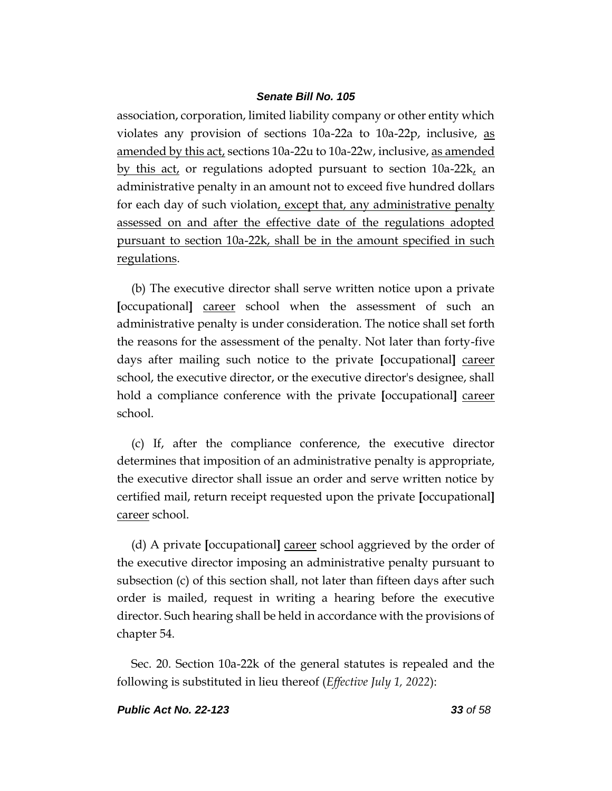association, corporation, limited liability company or other entity which violates any provision of sections 10a-22a to 10a-22p, inclusive, as amended by this act, sections 10a-22u to 10a-22w, inclusive, as amended by this act, or regulations adopted pursuant to section  $10a-22k$ , an administrative penalty in an amount not to exceed five hundred dollars for each day of such violation, except that, any administrative penalty assessed on and after the effective date of the regulations adopted pursuant to section 10a-22k, shall be in the amount specified in such regulations.

(b) The executive director shall serve written notice upon a private **[**occupational**]** career school when the assessment of such an administrative penalty is under consideration. The notice shall set forth the reasons for the assessment of the penalty. Not later than forty-five days after mailing such notice to the private **[**occupational**]** career school, the executive director, or the executive director's designee, shall hold a compliance conference with the private **[**occupational**]** career school.

(c) If, after the compliance conference, the executive director determines that imposition of an administrative penalty is appropriate, the executive director shall issue an order and serve written notice by certified mail, return receipt requested upon the private **[**occupational**]** career school.

(d) A private **[**occupational**]** career school aggrieved by the order of the executive director imposing an administrative penalty pursuant to subsection (c) of this section shall, not later than fifteen days after such order is mailed, request in writing a hearing before the executive director. Such hearing shall be held in accordance with the provisions of chapter 54.

Sec. 20. Section 10a-22k of the general statutes is repealed and the following is substituted in lieu thereof (*Effective July 1, 2022*):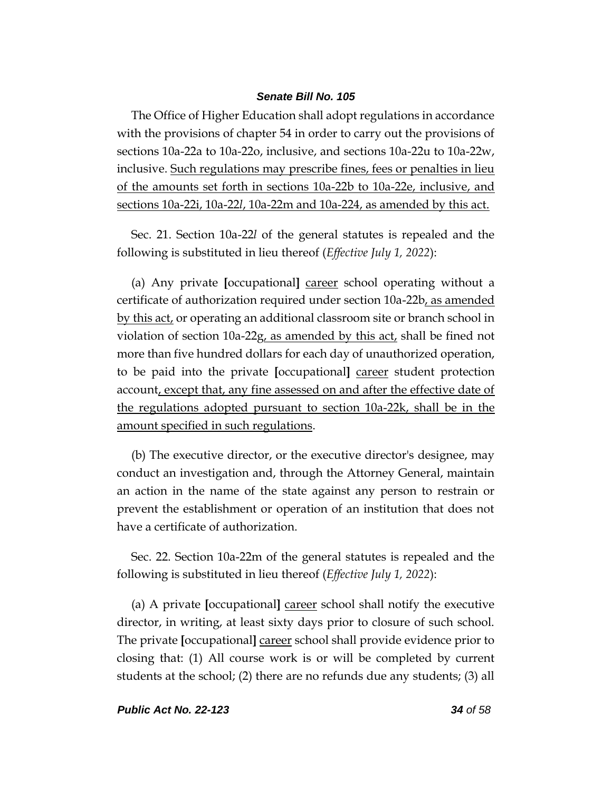The Office of Higher Education shall adopt regulations in accordance with the provisions of chapter 54 in order to carry out the provisions of sections 10a-22a to 10a-22o, inclusive, and sections 10a-22u to 10a-22w, inclusive. Such regulations may prescribe fines, fees or penalties in lieu of the amounts set forth in sections 10a-22b to 10a-22e, inclusive, and sections 10a-22i, 10a-22*l*, 10a-22m and 10a-224, as amended by this act.

Sec. 21. Section 10a-22*l* of the general statutes is repealed and the following is substituted in lieu thereof (*Effective July 1, 2022*):

(a) Any private **[**occupational**]** career school operating without a certificate of authorization required under section 10a-22b, as amended by this act, or operating an additional classroom site or branch school in violation of section 10a-22g, as amended by this act, shall be fined not more than five hundred dollars for each day of unauthorized operation, to be paid into the private **[**occupational**]** career student protection account, except that, any fine assessed on and after the effective date of the regulations adopted pursuant to section 10a-22k, shall be in the amount specified in such regulations.

(b) The executive director, or the executive director's designee, may conduct an investigation and, through the Attorney General, maintain an action in the name of the state against any person to restrain or prevent the establishment or operation of an institution that does not have a certificate of authorization.

Sec. 22. Section 10a-22m of the general statutes is repealed and the following is substituted in lieu thereof (*Effective July 1, 2022*):

(a) A private **[**occupational**]** career school shall notify the executive director, in writing, at least sixty days prior to closure of such school. The private **[**occupational**]** career school shall provide evidence prior to closing that: (1) All course work is or will be completed by current students at the school; (2) there are no refunds due any students; (3) all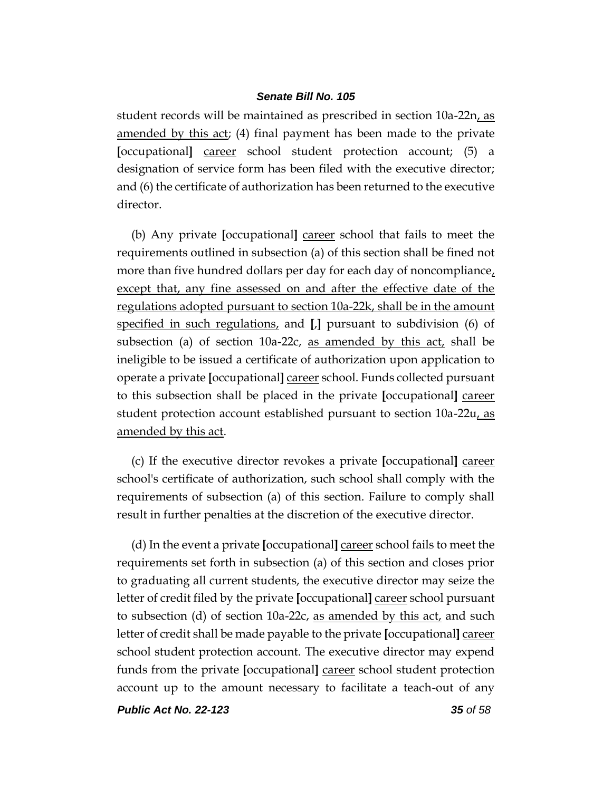student records will be maintained as prescribed in section 10a-22n, as amended by this act; (4) final payment has been made to the private **[**occupational**]** career school student protection account; (5) a designation of service form has been filed with the executive director; and (6) the certificate of authorization has been returned to the executive director.

(b) Any private **[**occupational**]** career school that fails to meet the requirements outlined in subsection (a) of this section shall be fined not more than five hundred dollars per day for each day of noncompliance, except that, any fine assessed on and after the effective date of the regulations adopted pursuant to section 10a-22k, shall be in the amount specified in such regulations, and **[**,**]** pursuant to subdivision (6) of subsection (a) of section 10a-22c, as amended by this act, shall be ineligible to be issued a certificate of authorization upon application to operate a private **[**occupational**]** career school. Funds collected pursuant to this subsection shall be placed in the private **[**occupational**]** career student protection account established pursuant to section 10a-22u, as amended by this act.

(c) If the executive director revokes a private **[**occupational**]** career school's certificate of authorization, such school shall comply with the requirements of subsection (a) of this section. Failure to comply shall result in further penalties at the discretion of the executive director.

(d) In the event a private **[**occupational**]** career school fails to meet the requirements set forth in subsection (a) of this section and closes prior to graduating all current students, the executive director may seize the letter of credit filed by the private **[**occupational**]** career school pursuant to subsection (d) of section 10a-22c, as amended by this act, and such letter of credit shall be made payable to the private **[**occupational**]** career school student protection account. The executive director may expend funds from the private **[**occupational**]** career school student protection account up to the amount necessary to facilitate a teach-out of any

*Public Act No. 22-123 35 of 58*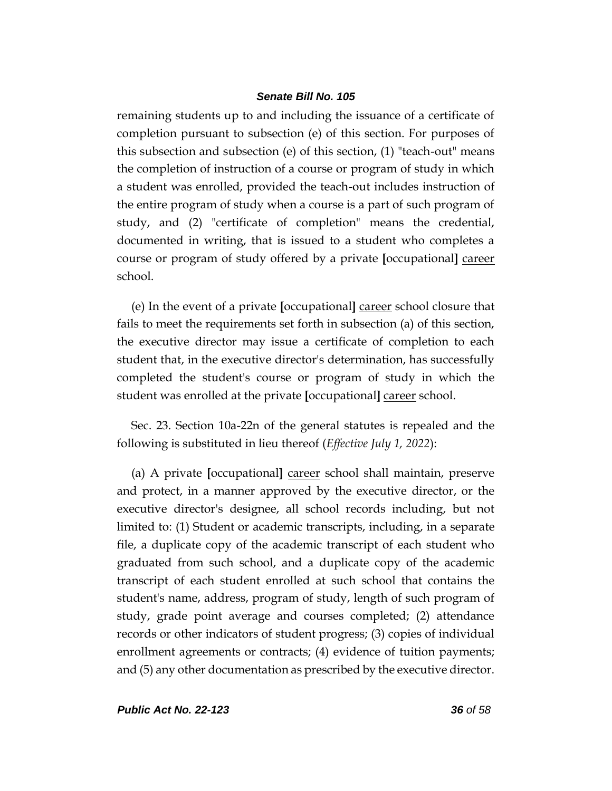remaining students up to and including the issuance of a certificate of completion pursuant to subsection (e) of this section. For purposes of this subsection and subsection (e) of this section, (1) "teach-out" means the completion of instruction of a course or program of study in which a student was enrolled, provided the teach-out includes instruction of the entire program of study when a course is a part of such program of study, and (2) "certificate of completion" means the credential, documented in writing, that is issued to a student who completes a course or program of study offered by a private **[**occupational**]** career school.

(e) In the event of a private **[**occupational**]** career school closure that fails to meet the requirements set forth in subsection (a) of this section, the executive director may issue a certificate of completion to each student that, in the executive director's determination, has successfully completed the student's course or program of study in which the student was enrolled at the private **[**occupational**]** career school.

Sec. 23. Section 10a-22n of the general statutes is repealed and the following is substituted in lieu thereof (*Effective July 1, 2022*):

(a) A private **[**occupational**]** career school shall maintain, preserve and protect, in a manner approved by the executive director, or the executive director's designee, all school records including, but not limited to: (1) Student or academic transcripts, including, in a separate file, a duplicate copy of the academic transcript of each student who graduated from such school, and a duplicate copy of the academic transcript of each student enrolled at such school that contains the student's name, address, program of study, length of such program of study, grade point average and courses completed; (2) attendance records or other indicators of student progress; (3) copies of individual enrollment agreements or contracts; (4) evidence of tuition payments; and (5) any other documentation as prescribed by the executive director.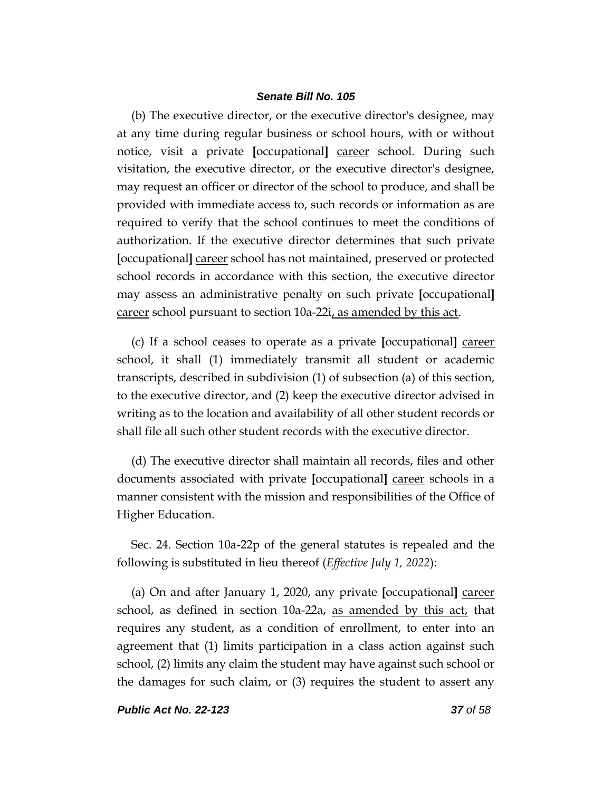(b) The executive director, or the executive director's designee, may at any time during regular business or school hours, with or without notice, visit a private **[**occupational**]** career school. During such visitation, the executive director, or the executive director's designee, may request an officer or director of the school to produce, and shall be provided with immediate access to, such records or information as are required to verify that the school continues to meet the conditions of authorization. If the executive director determines that such private **[**occupational**]** career school has not maintained, preserved or protected school records in accordance with this section, the executive director may assess an administrative penalty on such private **[**occupational**]** career school pursuant to section 10a-22i, as amended by this act.

(c) If a school ceases to operate as a private **[**occupational**]** career school, it shall (1) immediately transmit all student or academic transcripts, described in subdivision (1) of subsection (a) of this section, to the executive director, and (2) keep the executive director advised in writing as to the location and availability of all other student records or shall file all such other student records with the executive director.

(d) The executive director shall maintain all records, files and other documents associated with private **[**occupational**]** career schools in a manner consistent with the mission and responsibilities of the Office of Higher Education.

Sec. 24. Section 10a-22p of the general statutes is repealed and the following is substituted in lieu thereof (*Effective July 1, 2022*):

(a) On and after January 1, 2020, any private **[**occupational**]** career school, as defined in section 10a-22a, as amended by this act, that requires any student, as a condition of enrollment, to enter into an agreement that (1) limits participation in a class action against such school, (2) limits any claim the student may have against such school or the damages for such claim, or (3) requires the student to assert any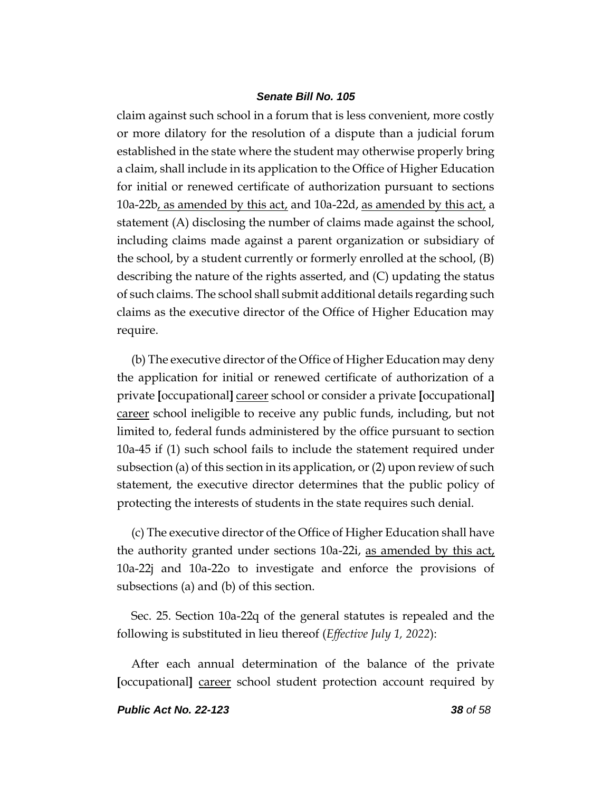claim against such school in a forum that is less convenient, more costly or more dilatory for the resolution of a dispute than a judicial forum established in the state where the student may otherwise properly bring a claim, shall include in its application to the Office of Higher Education for initial or renewed certificate of authorization pursuant to sections 10a-22b, as amended by this act, and 10a-22d, as amended by this act, a statement (A) disclosing the number of claims made against the school, including claims made against a parent organization or subsidiary of the school, by a student currently or formerly enrolled at the school, (B) describing the nature of the rights asserted, and (C) updating the status of such claims. The school shall submit additional details regarding such claims as the executive director of the Office of Higher Education may require.

(b) The executive director of the Office of Higher Education may deny the application for initial or renewed certificate of authorization of a private **[**occupational**]** career school or consider a private **[**occupational**]** career school ineligible to receive any public funds, including, but not limited to, federal funds administered by the office pursuant to section 10a-45 if (1) such school fails to include the statement required under subsection (a) of this section in its application, or (2) upon review of such statement, the executive director determines that the public policy of protecting the interests of students in the state requires such denial.

(c) The executive director of the Office of Higher Education shall have the authority granted under sections 10a-22i, as amended by this act, 10a-22j and 10a-22o to investigate and enforce the provisions of subsections (a) and (b) of this section.

Sec. 25. Section 10a-22q of the general statutes is repealed and the following is substituted in lieu thereof (*Effective July 1, 2022*):

After each annual determination of the balance of the private **[**occupational**]** career school student protection account required by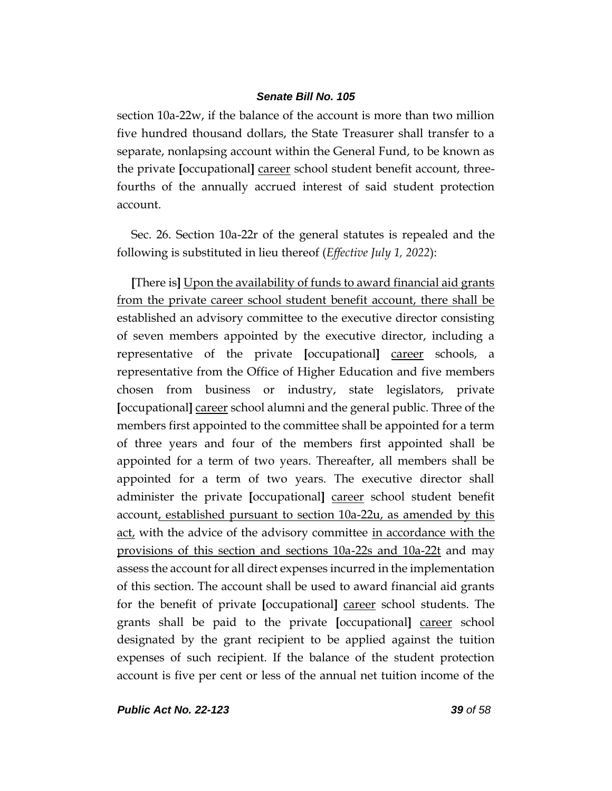section 10a-22w, if the balance of the account is more than two million five hundred thousand dollars, the State Treasurer shall transfer to a separate, nonlapsing account within the General Fund, to be known as the private **[**occupational**]** career school student benefit account, threefourths of the annually accrued interest of said student protection account.

Sec. 26. Section 10a-22r of the general statutes is repealed and the following is substituted in lieu thereof (*Effective July 1, 2022*):

**[**There is**]** Upon the availability of funds to award financial aid grants from the private career school student benefit account, there shall be established an advisory committee to the executive director consisting of seven members appointed by the executive director, including a representative of the private **[**occupational**]** career schools, a representative from the Office of Higher Education and five members chosen from business or industry, state legislators, private **[**occupational**]** career school alumni and the general public. Three of the members first appointed to the committee shall be appointed for a term of three years and four of the members first appointed shall be appointed for a term of two years. Thereafter, all members shall be appointed for a term of two years. The executive director shall administer the private **[**occupational**]** career school student benefit account, established pursuant to section 10a-22u, as amended by this act, with the advice of the advisory committee in accordance with the provisions of this section and sections 10a-22s and 10a-22t and may assess the account for all direct expenses incurred in the implementation of this section. The account shall be used to award financial aid grants for the benefit of private **[**occupational**]** career school students. The grants shall be paid to the private **[**occupational**]** career school designated by the grant recipient to be applied against the tuition expenses of such recipient. If the balance of the student protection account is five per cent or less of the annual net tuition income of the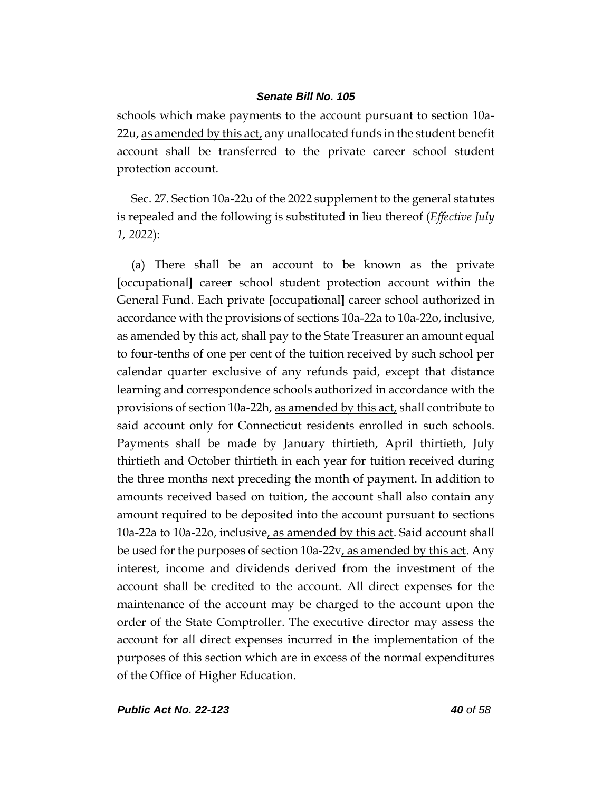schools which make payments to the account pursuant to section 10a-22u, as amended by this act, any unallocated funds in the student benefit account shall be transferred to the private career school student protection account.

Sec. 27. Section 10a-22u of the 2022 supplement to the general statutes is repealed and the following is substituted in lieu thereof (*Effective July 1, 2022*):

(a) There shall be an account to be known as the private **[**occupational**]** career school student protection account within the General Fund. Each private **[**occupational**]** career school authorized in accordance with the provisions of sections 10a-22a to 10a-22o, inclusive, as amended by this act, shall pay to the State Treasurer an amount equal to four-tenths of one per cent of the tuition received by such school per calendar quarter exclusive of any refunds paid, except that distance learning and correspondence schools authorized in accordance with the provisions of section 10a-22h, as amended by this act, shall contribute to said account only for Connecticut residents enrolled in such schools. Payments shall be made by January thirtieth, April thirtieth, July thirtieth and October thirtieth in each year for tuition received during the three months next preceding the month of payment. In addition to amounts received based on tuition, the account shall also contain any amount required to be deposited into the account pursuant to sections 10a-22a to 10a-22o, inclusive, as amended by this act. Said account shall be used for the purposes of section 10a-22v, as amended by this act. Any interest, income and dividends derived from the investment of the account shall be credited to the account. All direct expenses for the maintenance of the account may be charged to the account upon the order of the State Comptroller. The executive director may assess the account for all direct expenses incurred in the implementation of the purposes of this section which are in excess of the normal expenditures of the Office of Higher Education.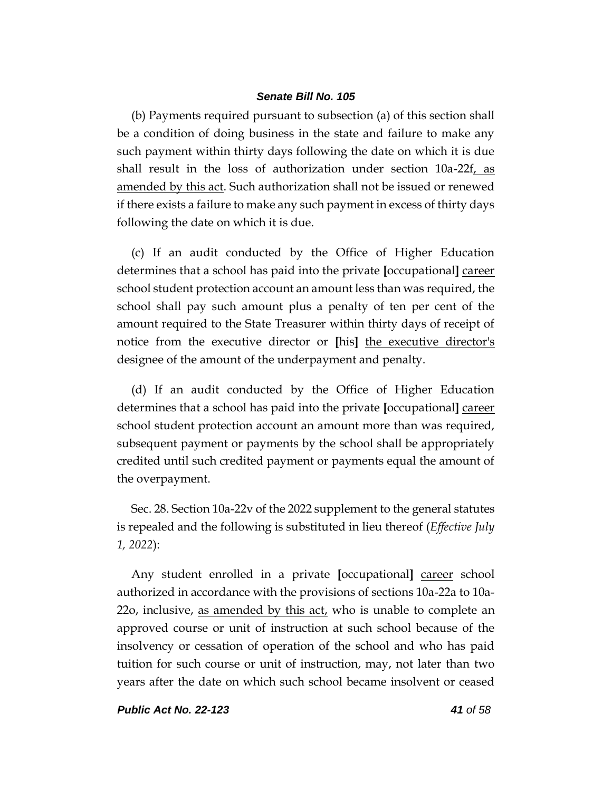(b) Payments required pursuant to subsection (a) of this section shall be a condition of doing business in the state and failure to make any such payment within thirty days following the date on which it is due shall result in the loss of authorization under section  $10a-22f$ , as amended by this act. Such authorization shall not be issued or renewed if there exists a failure to make any such payment in excess of thirty days following the date on which it is due.

(c) If an audit conducted by the Office of Higher Education determines that a school has paid into the private **[**occupational**]** career school student protection account an amount less than was required, the school shall pay such amount plus a penalty of ten per cent of the amount required to the State Treasurer within thirty days of receipt of notice from the executive director or **[**his**]** the executive director's designee of the amount of the underpayment and penalty.

(d) If an audit conducted by the Office of Higher Education determines that a school has paid into the private **[**occupational**]** career school student protection account an amount more than was required, subsequent payment or payments by the school shall be appropriately credited until such credited payment or payments equal the amount of the overpayment.

Sec. 28. Section 10a-22v of the 2022 supplement to the general statutes is repealed and the following is substituted in lieu thereof (*Effective July 1, 2022*):

Any student enrolled in a private **[**occupational**]** career school authorized in accordance with the provisions of sections 10a-22a to 10a-22o, inclusive, as amended by this act, who is unable to complete an approved course or unit of instruction at such school because of the insolvency or cessation of operation of the school and who has paid tuition for such course or unit of instruction, may, not later than two years after the date on which such school became insolvent or ceased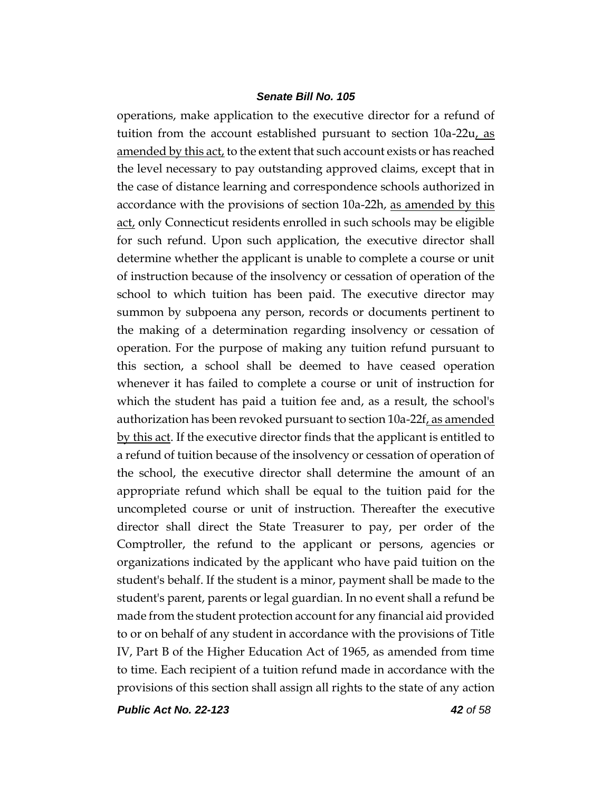operations, make application to the executive director for a refund of tuition from the account established pursuant to section 10a-22u, as amended by this act, to the extent that such account exists or has reached the level necessary to pay outstanding approved claims, except that in the case of distance learning and correspondence schools authorized in accordance with the provisions of section 10a-22h, as amended by this act, only Connecticut residents enrolled in such schools may be eligible for such refund. Upon such application, the executive director shall determine whether the applicant is unable to complete a course or unit of instruction because of the insolvency or cessation of operation of the school to which tuition has been paid. The executive director may summon by subpoena any person, records or documents pertinent to the making of a determination regarding insolvency or cessation of operation. For the purpose of making any tuition refund pursuant to this section, a school shall be deemed to have ceased operation whenever it has failed to complete a course or unit of instruction for which the student has paid a tuition fee and, as a result, the school's authorization has been revoked pursuant to section 10a-22f, as amended by this act. If the executive director finds that the applicant is entitled to a refund of tuition because of the insolvency or cessation of operation of the school, the executive director shall determine the amount of an appropriate refund which shall be equal to the tuition paid for the uncompleted course or unit of instruction. Thereafter the executive director shall direct the State Treasurer to pay, per order of the Comptroller, the refund to the applicant or persons, agencies or organizations indicated by the applicant who have paid tuition on the student's behalf. If the student is a minor, payment shall be made to the student's parent, parents or legal guardian. In no event shall a refund be made from the student protection account for any financial aid provided to or on behalf of any student in accordance with the provisions of Title IV, Part B of the Higher Education Act of 1965, as amended from time to time. Each recipient of a tuition refund made in accordance with the provisions of this section shall assign all rights to the state of any action

*Public Act No. 22-123 42 of 58*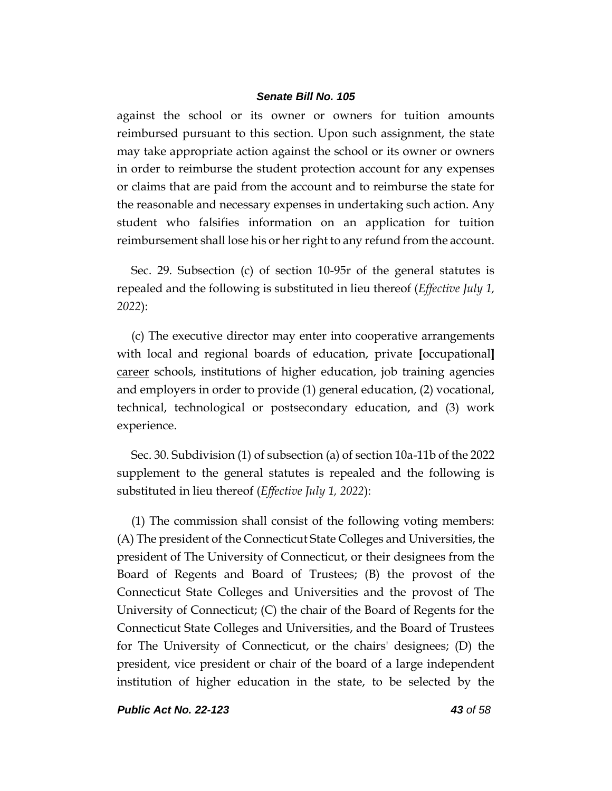against the school or its owner or owners for tuition amounts reimbursed pursuant to this section. Upon such assignment, the state may take appropriate action against the school or its owner or owners in order to reimburse the student protection account for any expenses or claims that are paid from the account and to reimburse the state for the reasonable and necessary expenses in undertaking such action. Any student who falsifies information on an application for tuition reimbursement shall lose his or her right to any refund from the account.

Sec. 29. Subsection (c) of section 10-95r of the general statutes is repealed and the following is substituted in lieu thereof (*Effective July 1, 2022*):

(c) The executive director may enter into cooperative arrangements with local and regional boards of education, private **[**occupational**]** career schools, institutions of higher education, job training agencies and employers in order to provide (1) general education, (2) vocational, technical, technological or postsecondary education, and (3) work experience.

Sec. 30. Subdivision (1) of subsection (a) of section 10a-11b of the 2022 supplement to the general statutes is repealed and the following is substituted in lieu thereof (*Effective July 1, 2022*):

(1) The commission shall consist of the following voting members: (A) The president of the Connecticut State Colleges and Universities, the president of The University of Connecticut, or their designees from the Board of Regents and Board of Trustees; (B) the provost of the Connecticut State Colleges and Universities and the provost of The University of Connecticut; (C) the chair of the Board of Regents for the Connecticut State Colleges and Universities, and the Board of Trustees for The University of Connecticut, or the chairs' designees; (D) the president, vice president or chair of the board of a large independent institution of higher education in the state, to be selected by the

*Public Act No. 22-123 43 of 58*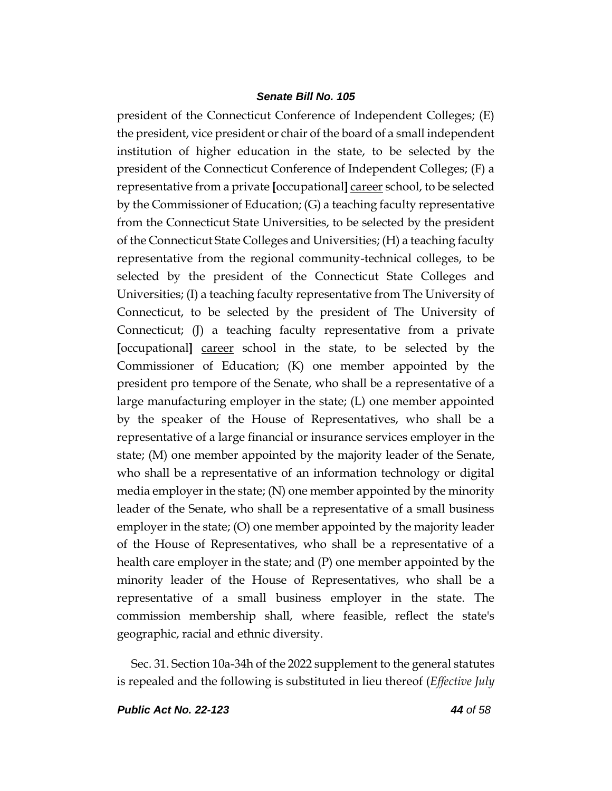president of the Connecticut Conference of Independent Colleges; (E) the president, vice president or chair of the board of a small independent institution of higher education in the state, to be selected by the president of the Connecticut Conference of Independent Colleges; (F) a representative from a private **[**occupational**]** career school, to be selected by the Commissioner of Education; (G) a teaching faculty representative from the Connecticut State Universities, to be selected by the president of the Connecticut State Colleges and Universities; (H) a teaching faculty representative from the regional community-technical colleges, to be selected by the president of the Connecticut State Colleges and Universities; (I) a teaching faculty representative from The University of Connecticut, to be selected by the president of The University of Connecticut; (J) a teaching faculty representative from a private **[**occupational**]** career school in the state, to be selected by the Commissioner of Education; (K) one member appointed by the president pro tempore of the Senate, who shall be a representative of a large manufacturing employer in the state; (L) one member appointed by the speaker of the House of Representatives, who shall be a representative of a large financial or insurance services employer in the state; (M) one member appointed by the majority leader of the Senate, who shall be a representative of an information technology or digital media employer in the state; (N) one member appointed by the minority leader of the Senate, who shall be a representative of a small business employer in the state; (O) one member appointed by the majority leader of the House of Representatives, who shall be a representative of a health care employer in the state; and (P) one member appointed by the minority leader of the House of Representatives, who shall be a representative of a small business employer in the state. The commission membership shall, where feasible, reflect the state's geographic, racial and ethnic diversity.

Sec. 31. Section 10a-34h of the 2022 supplement to the general statutes is repealed and the following is substituted in lieu thereof (*Effective July*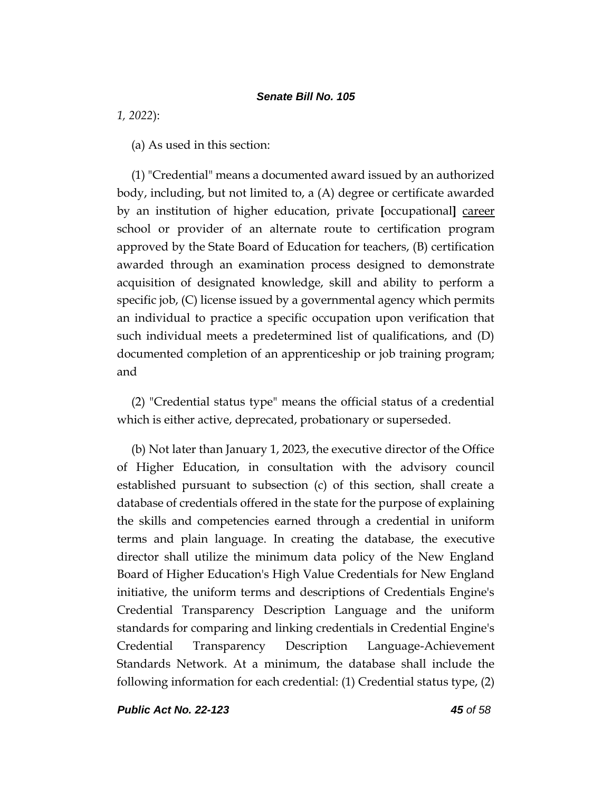*1, 2022*):

(a) As used in this section:

(1) "Credential" means a documented award issued by an authorized body, including, but not limited to, a (A) degree or certificate awarded by an institution of higher education, private **[**occupational**]** career school or provider of an alternate route to certification program approved by the State Board of Education for teachers, (B) certification awarded through an examination process designed to demonstrate acquisition of designated knowledge, skill and ability to perform a specific job, (C) license issued by a governmental agency which permits an individual to practice a specific occupation upon verification that such individual meets a predetermined list of qualifications, and (D) documented completion of an apprenticeship or job training program; and

(2) "Credential status type" means the official status of a credential which is either active, deprecated, probationary or superseded.

(b) Not later than January 1, 2023, the executive director of the Office of Higher Education, in consultation with the advisory council established pursuant to subsection (c) of this section, shall create a database of credentials offered in the state for the purpose of explaining the skills and competencies earned through a credential in uniform terms and plain language. In creating the database, the executive director shall utilize the minimum data policy of the New England Board of Higher Education's High Value Credentials for New England initiative, the uniform terms and descriptions of Credentials Engine's Credential Transparency Description Language and the uniform standards for comparing and linking credentials in Credential Engine's Credential Transparency Description Language-Achievement Standards Network. At a minimum, the database shall include the following information for each credential: (1) Credential status type, (2)

*Public Act No. 22-123 45 of 58*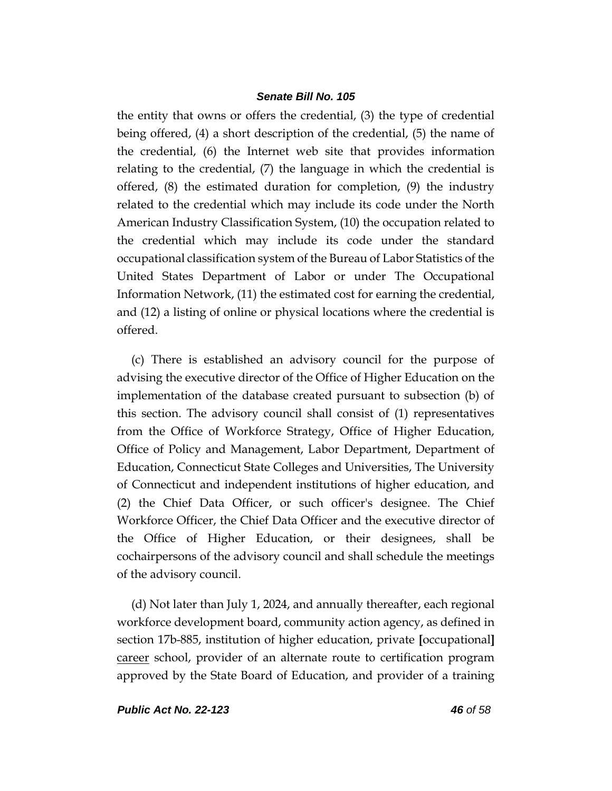the entity that owns or offers the credential, (3) the type of credential being offered, (4) a short description of the credential, (5) the name of the credential, (6) the Internet web site that provides information relating to the credential, (7) the language in which the credential is offered, (8) the estimated duration for completion, (9) the industry related to the credential which may include its code under the North American Industry Classification System, (10) the occupation related to the credential which may include its code under the standard occupational classification system of the Bureau of Labor Statistics of the United States Department of Labor or under The Occupational Information Network, (11) the estimated cost for earning the credential, and (12) a listing of online or physical locations where the credential is offered.

(c) There is established an advisory council for the purpose of advising the executive director of the Office of Higher Education on the implementation of the database created pursuant to subsection (b) of this section. The advisory council shall consist of (1) representatives from the Office of Workforce Strategy, Office of Higher Education, Office of Policy and Management, Labor Department, Department of Education, Connecticut State Colleges and Universities, The University of Connecticut and independent institutions of higher education, and (2) the Chief Data Officer, or such officer's designee. The Chief Workforce Officer, the Chief Data Officer and the executive director of the Office of Higher Education, or their designees, shall be cochairpersons of the advisory council and shall schedule the meetings of the advisory council.

(d) Not later than July 1, 2024, and annually thereafter, each regional workforce development board, community action agency, as defined in section 17b-885, institution of higher education, private **[**occupational**]** career school, provider of an alternate route to certification program approved by the State Board of Education, and provider of a training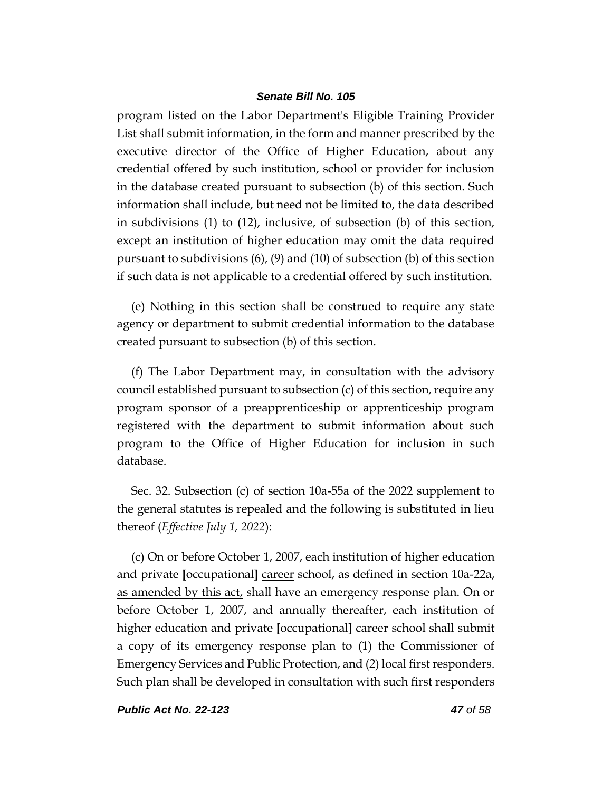program listed on the Labor Department's Eligible Training Provider List shall submit information, in the form and manner prescribed by the executive director of the Office of Higher Education, about any credential offered by such institution, school or provider for inclusion in the database created pursuant to subsection (b) of this section. Such information shall include, but need not be limited to, the data described in subdivisions (1) to (12), inclusive, of subsection (b) of this section, except an institution of higher education may omit the data required pursuant to subdivisions (6), (9) and (10) of subsection (b) of this section if such data is not applicable to a credential offered by such institution.

(e) Nothing in this section shall be construed to require any state agency or department to submit credential information to the database created pursuant to subsection (b) of this section.

(f) The Labor Department may, in consultation with the advisory council established pursuant to subsection (c) of this section, require any program sponsor of a preapprenticeship or apprenticeship program registered with the department to submit information about such program to the Office of Higher Education for inclusion in such database.

Sec. 32. Subsection (c) of section 10a-55a of the 2022 supplement to the general statutes is repealed and the following is substituted in lieu thereof (*Effective July 1, 2022*):

(c) On or before October 1, 2007, each institution of higher education and private **[**occupational**]** career school, as defined in section 10a-22a, as amended by this act, shall have an emergency response plan. On or before October 1, 2007, and annually thereafter, each institution of higher education and private **[**occupational**]** career school shall submit a copy of its emergency response plan to (1) the Commissioner of Emergency Services and Public Protection, and (2) local first responders. Such plan shall be developed in consultation with such first responders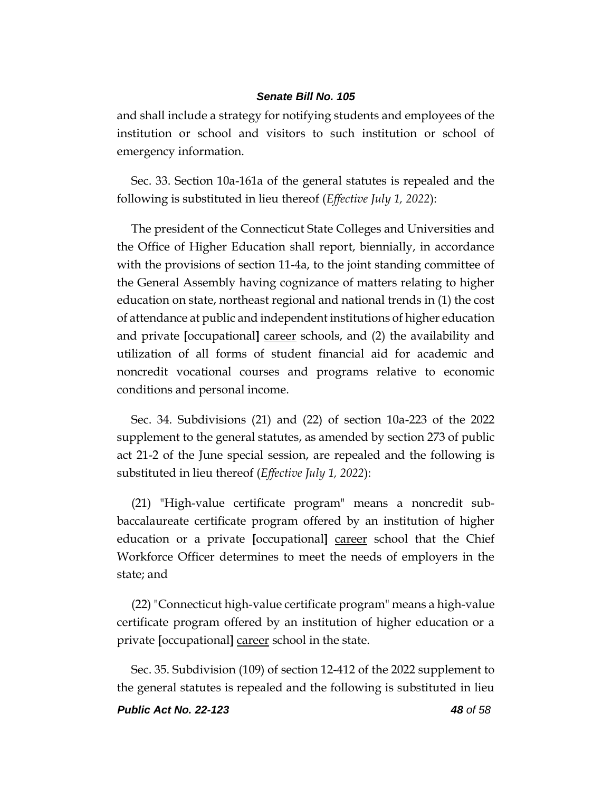and shall include a strategy for notifying students and employees of the institution or school and visitors to such institution or school of emergency information.

Sec. 33. Section 10a-161a of the general statutes is repealed and the following is substituted in lieu thereof (*Effective July 1, 2022*):

The president of the Connecticut State Colleges and Universities and the Office of Higher Education shall report, biennially, in accordance with the provisions of section 11-4a, to the joint standing committee of the General Assembly having cognizance of matters relating to higher education on state, northeast regional and national trends in (1) the cost of attendance at public and independent institutions of higher education and private **[**occupational**]** career schools, and (2) the availability and utilization of all forms of student financial aid for academic and noncredit vocational courses and programs relative to economic conditions and personal income.

Sec. 34. Subdivisions (21) and (22) of section 10a-223 of the 2022 supplement to the general statutes, as amended by section 273 of public act 21-2 of the June special session, are repealed and the following is substituted in lieu thereof (*Effective July 1, 2022*):

(21) "High-value certificate program" means a noncredit subbaccalaureate certificate program offered by an institution of higher education or a private **[**occupational**]** career school that the Chief Workforce Officer determines to meet the needs of employers in the state; and

(22) "Connecticut high-value certificate program" means a high-value certificate program offered by an institution of higher education or a private **[**occupational**]** career school in the state.

Sec. 35. Subdivision (109) of section 12-412 of the 2022 supplement to the general statutes is repealed and the following is substituted in lieu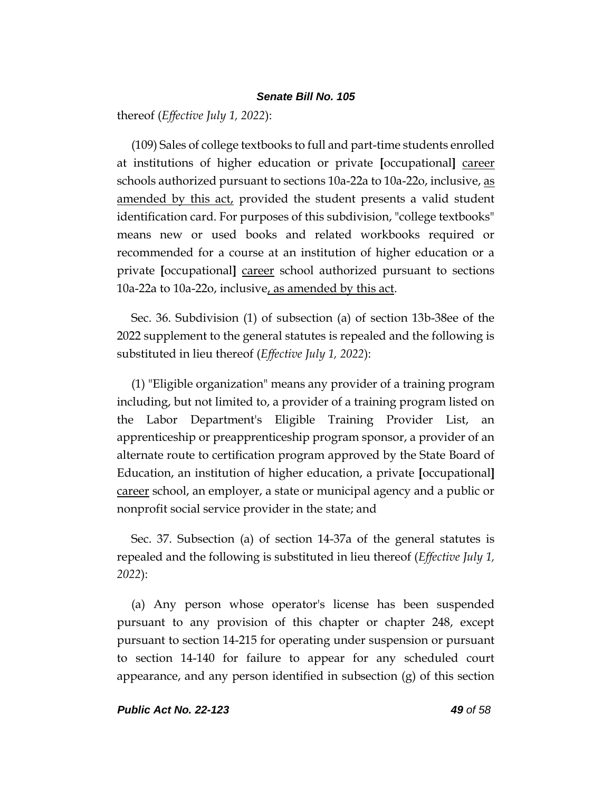thereof (*Effective July 1, 2022*):

(109) Sales of college textbooks to full and part-time students enrolled at institutions of higher education or private **[**occupational**]** career schools authorized pursuant to sections 10a-22a to 10a-22o, inclusive, as amended by this act, provided the student presents a valid student identification card. For purposes of this subdivision, "college textbooks" means new or used books and related workbooks required or recommended for a course at an institution of higher education or a private **[**occupational**]** career school authorized pursuant to sections 10a-22a to 10a-22o, inclusive, as amended by this act.

Sec. 36. Subdivision (1) of subsection (a) of section 13b-38ee of the 2022 supplement to the general statutes is repealed and the following is substituted in lieu thereof (*Effective July 1, 2022*):

(1) "Eligible organization" means any provider of a training program including, but not limited to, a provider of a training program listed on the Labor Department's Eligible Training Provider List, an apprenticeship or preapprenticeship program sponsor, a provider of an alternate route to certification program approved by the State Board of Education, an institution of higher education, a private **[**occupational**]** career school, an employer, a state or municipal agency and a public or nonprofit social service provider in the state; and

Sec. 37. Subsection (a) of section 14-37a of the general statutes is repealed and the following is substituted in lieu thereof (*Effective July 1, 2022*):

(a) Any person whose operator's license has been suspended pursuant to any provision of this chapter or chapter 248, except pursuant to section 14-215 for operating under suspension or pursuant to section 14-140 for failure to appear for any scheduled court appearance, and any person identified in subsection  $(g)$  of this section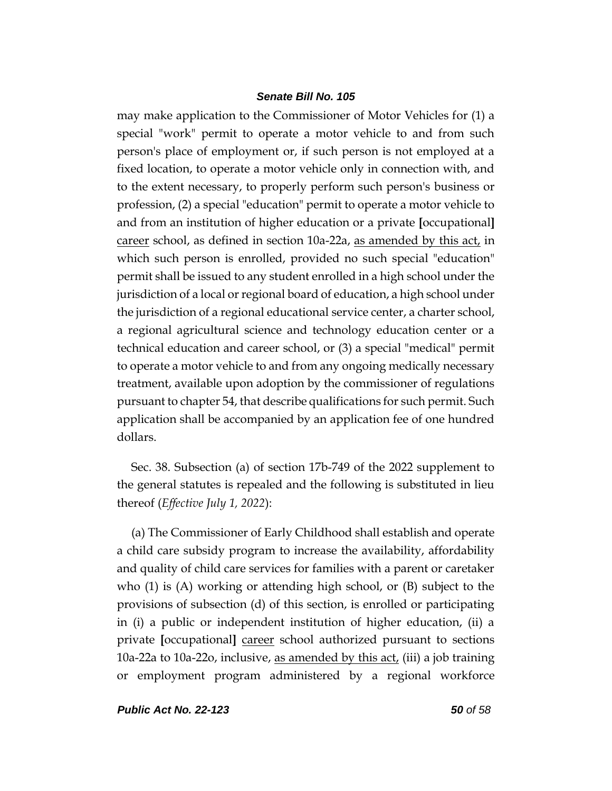may make application to the Commissioner of Motor Vehicles for (1) a special "work" permit to operate a motor vehicle to and from such person's place of employment or, if such person is not employed at a fixed location, to operate a motor vehicle only in connection with, and to the extent necessary, to properly perform such person's business or profession, (2) a special "education" permit to operate a motor vehicle to and from an institution of higher education or a private **[**occupational**]** career school, as defined in section 10a-22a, as amended by this act, in which such person is enrolled, provided no such special "education" permit shall be issued to any student enrolled in a high school under the jurisdiction of a local or regional board of education, a high school under the jurisdiction of a regional educational service center, a charter school, a regional agricultural science and technology education center or a technical education and career school, or (3) a special "medical" permit to operate a motor vehicle to and from any ongoing medically necessary treatment, available upon adoption by the commissioner of regulations pursuant to chapter 54, that describe qualifications for such permit. Such application shall be accompanied by an application fee of one hundred dollars.

Sec. 38. Subsection (a) of section 17b-749 of the 2022 supplement to the general statutes is repealed and the following is substituted in lieu thereof (*Effective July 1, 2022*):

(a) The Commissioner of Early Childhood shall establish and operate a child care subsidy program to increase the availability, affordability and quality of child care services for families with a parent or caretaker who (1) is (A) working or attending high school, or (B) subject to the provisions of subsection (d) of this section, is enrolled or participating in (i) a public or independent institution of higher education, (ii) a private **[**occupational**]** career school authorized pursuant to sections 10a-22a to 10a-22o, inclusive, as amended by this act, (iii) a job training or employment program administered by a regional workforce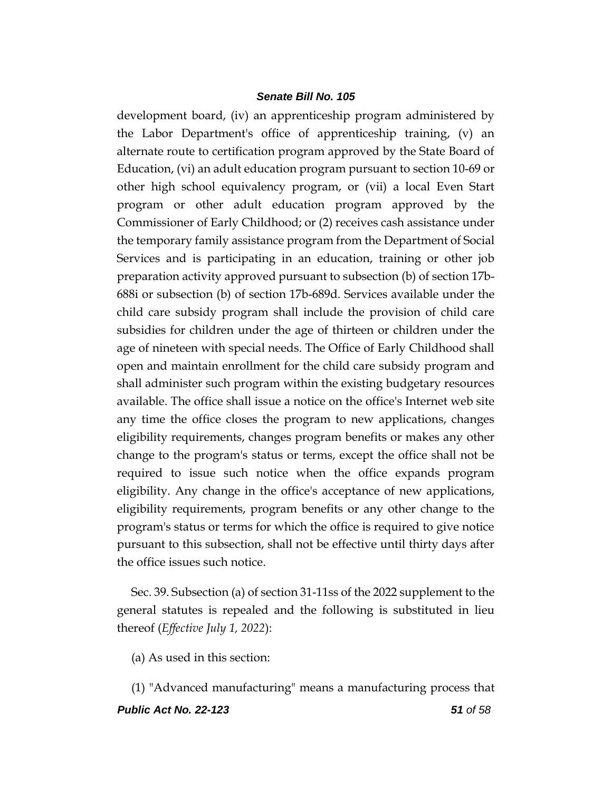development board, (iv) an apprenticeship program administered by the Labor Department's office of apprenticeship training, (v) an alternate route to certification program approved by the State Board of Education, (vi) an adult education program pursuant to section 10-69 or other high school equivalency program, or (vii) a local Even Start program or other adult education program approved by the Commissioner of Early Childhood; or (2) receives cash assistance under the temporary family assistance program from the Department of Social Services and is participating in an education, training or other job preparation activity approved pursuant to subsection (b) of section 17b-688i or subsection (b) of section 17b-689d. Services available under the child care subsidy program shall include the provision of child care subsidies for children under the age of thirteen or children under the age of nineteen with special needs. The Office of Early Childhood shall open and maintain enrollment for the child care subsidy program and shall administer such program within the existing budgetary resources available. The office shall issue a notice on the office's Internet web site any time the office closes the program to new applications, changes eligibility requirements, changes program benefits or makes any other change to the program's status or terms, except the office shall not be required to issue such notice when the office expands program eligibility. Any change in the office's acceptance of new applications, eligibility requirements, program benefits or any other change to the program's status or terms for which the office is required to give notice pursuant to this subsection, shall not be effective until thirty days after the office issues such notice.

Sec. 39. Subsection (a) of section 31-11ss of the 2022 supplement to the general statutes is repealed and the following is substituted in lieu thereof (*Effective July 1, 2022*):

(a) As used in this section:

*Public Act No. 22-123 51 of 58* (1) "Advanced manufacturing" means a manufacturing process that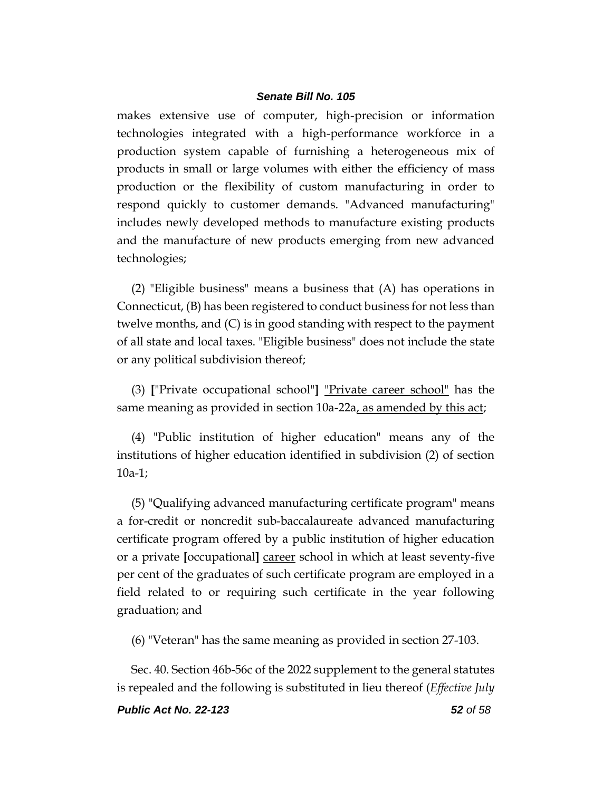makes extensive use of computer, high-precision or information technologies integrated with a high-performance workforce in a production system capable of furnishing a heterogeneous mix of products in small or large volumes with either the efficiency of mass production or the flexibility of custom manufacturing in order to respond quickly to customer demands. "Advanced manufacturing" includes newly developed methods to manufacture existing products and the manufacture of new products emerging from new advanced technologies;

(2) "Eligible business" means a business that (A) has operations in Connecticut, (B) has been registered to conduct business for not less than twelve months, and (C) is in good standing with respect to the payment of all state and local taxes. "Eligible business" does not include the state or any political subdivision thereof;

(3) **[**"Private occupational school"**]** "Private career school" has the same meaning as provided in section 10a-22a, as amended by this act;

(4) "Public institution of higher education" means any of the institutions of higher education identified in subdivision (2) of section 10a-1;

(5) "Qualifying advanced manufacturing certificate program" means a for-credit or noncredit sub-baccalaureate advanced manufacturing certificate program offered by a public institution of higher education or a private **[**occupational**]** career school in which at least seventy-five per cent of the graduates of such certificate program are employed in a field related to or requiring such certificate in the year following graduation; and

(6) "Veteran" has the same meaning as provided in section 27-103.

Sec. 40. Section 46b-56c of the 2022 supplement to the general statutes is repealed and the following is substituted in lieu thereof (*Effective July*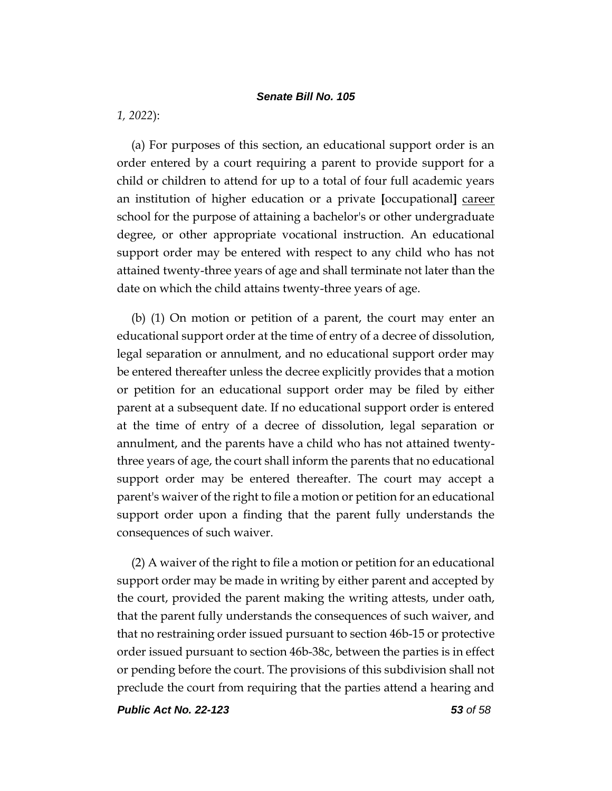*1, 2022*):

(a) For purposes of this section, an educational support order is an order entered by a court requiring a parent to provide support for a child or children to attend for up to a total of four full academic years an institution of higher education or a private **[**occupational**]** career school for the purpose of attaining a bachelor's or other undergraduate degree, or other appropriate vocational instruction. An educational support order may be entered with respect to any child who has not attained twenty-three years of age and shall terminate not later than the date on which the child attains twenty-three years of age.

(b) (1) On motion or petition of a parent, the court may enter an educational support order at the time of entry of a decree of dissolution, legal separation or annulment, and no educational support order may be entered thereafter unless the decree explicitly provides that a motion or petition for an educational support order may be filed by either parent at a subsequent date. If no educational support order is entered at the time of entry of a decree of dissolution, legal separation or annulment, and the parents have a child who has not attained twentythree years of age, the court shall inform the parents that no educational support order may be entered thereafter. The court may accept a parent's waiver of the right to file a motion or petition for an educational support order upon a finding that the parent fully understands the consequences of such waiver.

(2) A waiver of the right to file a motion or petition for an educational support order may be made in writing by either parent and accepted by the court, provided the parent making the writing attests, under oath, that the parent fully understands the consequences of such waiver, and that no restraining order issued pursuant to section 46b-15 or protective order issued pursuant to section 46b-38c, between the parties is in effect or pending before the court. The provisions of this subdivision shall not preclude the court from requiring that the parties attend a hearing and

*Public Act No. 22-123 53 of 58*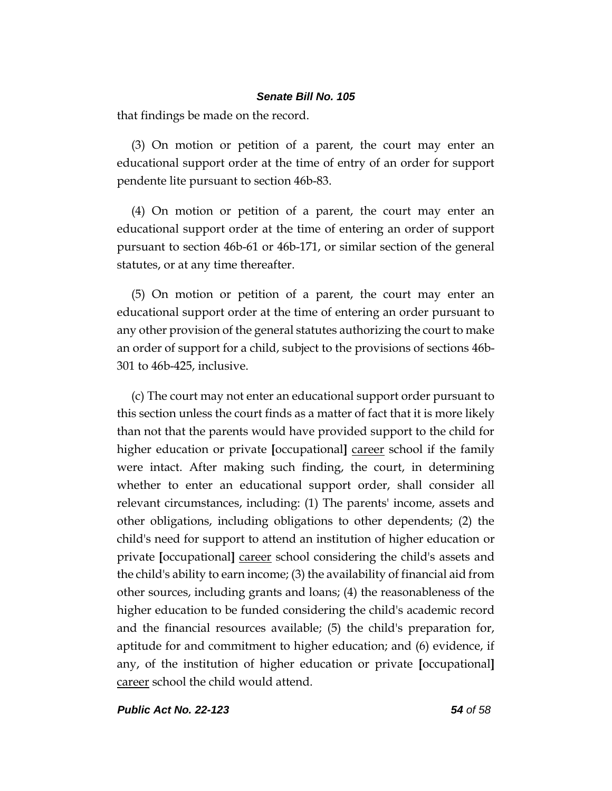that findings be made on the record.

(3) On motion or petition of a parent, the court may enter an educational support order at the time of entry of an order for support pendente lite pursuant to section 46b-83.

(4) On motion or petition of a parent, the court may enter an educational support order at the time of entering an order of support pursuant to section 46b-61 or 46b-171, or similar section of the general statutes, or at any time thereafter.

(5) On motion or petition of a parent, the court may enter an educational support order at the time of entering an order pursuant to any other provision of the general statutes authorizing the court to make an order of support for a child, subject to the provisions of sections 46b-301 to 46b-425, inclusive.

(c) The court may not enter an educational support order pursuant to this section unless the court finds as a matter of fact that it is more likely than not that the parents would have provided support to the child for higher education or private **[**occupational**]** career school if the family were intact. After making such finding, the court, in determining whether to enter an educational support order, shall consider all relevant circumstances, including: (1) The parents' income, assets and other obligations, including obligations to other dependents; (2) the child's need for support to attend an institution of higher education or private **[**occupational**]** career school considering the child's assets and the child's ability to earn income; (3) the availability of financial aid from other sources, including grants and loans; (4) the reasonableness of the higher education to be funded considering the child's academic record and the financial resources available; (5) the child's preparation for, aptitude for and commitment to higher education; and (6) evidence, if any, of the institution of higher education or private **[**occupational**]** career school the child would attend.

*Public Act No. 22-123 54 of 58*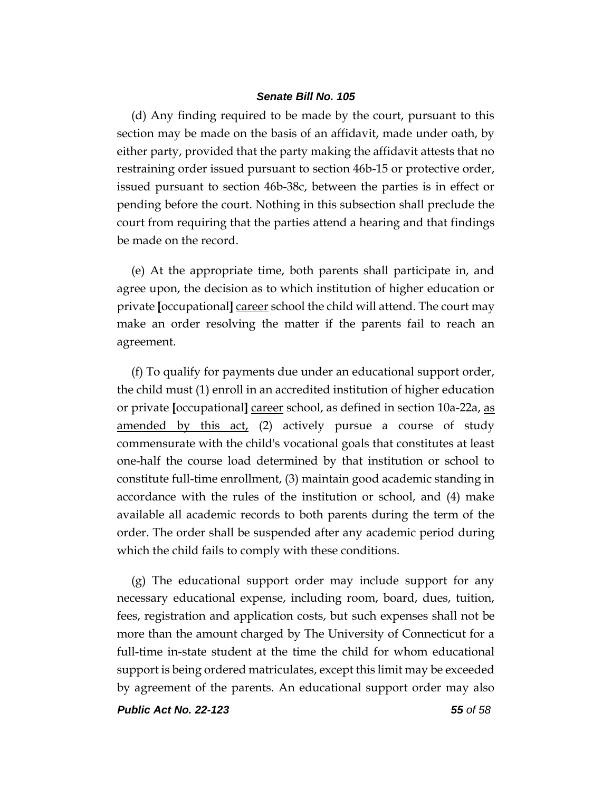(d) Any finding required to be made by the court, pursuant to this section may be made on the basis of an affidavit, made under oath, by either party, provided that the party making the affidavit attests that no restraining order issued pursuant to section 46b-15 or protective order, issued pursuant to section 46b-38c, between the parties is in effect or pending before the court. Nothing in this subsection shall preclude the court from requiring that the parties attend a hearing and that findings be made on the record.

(e) At the appropriate time, both parents shall participate in, and agree upon, the decision as to which institution of higher education or private **[**occupational**]** career school the child will attend. The court may make an order resolving the matter if the parents fail to reach an agreement.

(f) To qualify for payments due under an educational support order, the child must (1) enroll in an accredited institution of higher education or private **[**occupational**]** career school, as defined in section 10a-22a, as amended by this act, (2) actively pursue a course of study commensurate with the child's vocational goals that constitutes at least one-half the course load determined by that institution or school to constitute full-time enrollment, (3) maintain good academic standing in accordance with the rules of the institution or school, and (4) make available all academic records to both parents during the term of the order. The order shall be suspended after any academic period during which the child fails to comply with these conditions.

(g) The educational support order may include support for any necessary educational expense, including room, board, dues, tuition, fees, registration and application costs, but such expenses shall not be more than the amount charged by The University of Connecticut for a full-time in-state student at the time the child for whom educational support is being ordered matriculates, except this limit may be exceeded by agreement of the parents. An educational support order may also

*Public Act No. 22-123 55 of 58*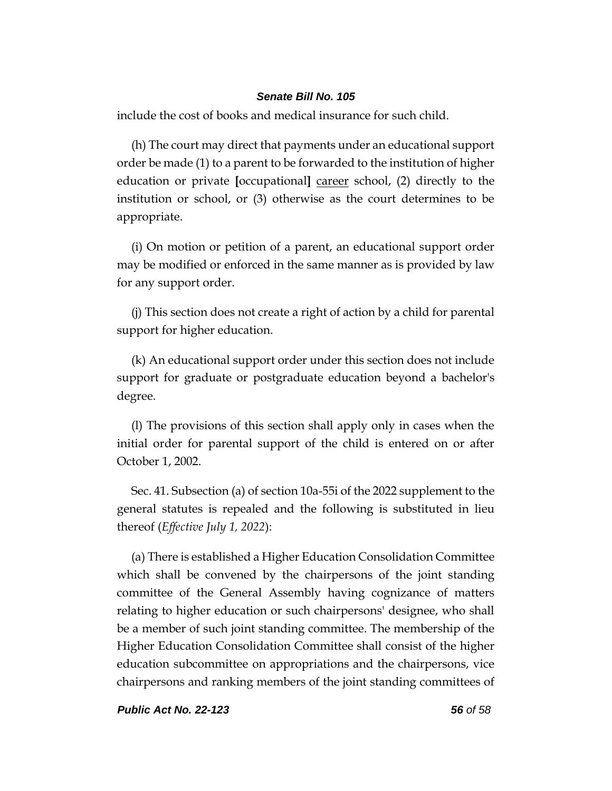include the cost of books and medical insurance for such child.

(h) The court may direct that payments under an educational support order be made (1) to a parent to be forwarded to the institution of higher education or private **[**occupational**]** career school, (2) directly to the institution or school, or (3) otherwise as the court determines to be appropriate.

(i) On motion or petition of a parent, an educational support order may be modified or enforced in the same manner as is provided by law for any support order.

(j) This section does not create a right of action by a child for parental support for higher education.

(k) An educational support order under this section does not include support for graduate or postgraduate education beyond a bachelor's degree.

(l) The provisions of this section shall apply only in cases when the initial order for parental support of the child is entered on or after October 1, 2002.

Sec. 41. Subsection (a) of section 10a-55i of the 2022 supplement to the general statutes is repealed and the following is substituted in lieu thereof (*Effective July 1, 2022*):

(a) There is established a Higher Education Consolidation Committee which shall be convened by the chairpersons of the joint standing committee of the General Assembly having cognizance of matters relating to higher education or such chairpersons' designee, who shall be a member of such joint standing committee. The membership of the Higher Education Consolidation Committee shall consist of the higher education subcommittee on appropriations and the chairpersons, vice chairpersons and ranking members of the joint standing committees of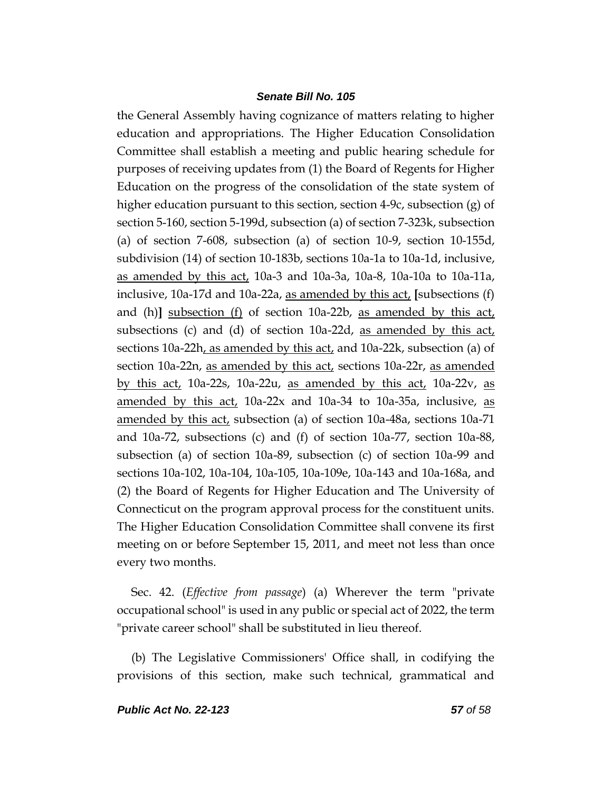the General Assembly having cognizance of matters relating to higher education and appropriations. The Higher Education Consolidation Committee shall establish a meeting and public hearing schedule for purposes of receiving updates from (1) the Board of Regents for Higher Education on the progress of the consolidation of the state system of higher education pursuant to this section, section 4-9c, subsection  $(g)$  of section 5-160, section 5-199d, subsection (a) of section 7-323k, subsection (a) of section 7-608, subsection (a) of section 10-9, section 10-155d, subdivision (14) of section 10-183b, sections 10a-1a to 10a-1d, inclusive, as amended by this act, 10a-3 and 10a-3a, 10a-8, 10a-10a to 10a-11a, inclusive, 10a-17d and 10a-22a, as amended by this act, **[**subsections (f) and (h)] subsection (f) of section 10a-22b, as amended by this act, subsections (c) and (d) of section 10a-22d, as amended by this  $act_t$ sections 10a-22h, as amended by this act, and 10a-22k, subsection (a) of section 10a-22n, as amended by this act, sections 10a-22r, as amended by this act, 10a-22s, 10a-22u, as amended by this act, 10a-22v, as amended by this act, 10a-22x and 10a-34 to 10a-35a, inclusive, as amended by this act, subsection (a) of section 10a-48a, sections 10a-71 and 10a-72, subsections (c) and (f) of section 10a-77, section 10a-88, subsection (a) of section 10a-89, subsection (c) of section 10a-99 and sections 10a-102, 10a-104, 10a-105, 10a-109e, 10a-143 and 10a-168a, and (2) the Board of Regents for Higher Education and The University of Connecticut on the program approval process for the constituent units. The Higher Education Consolidation Committee shall convene its first meeting on or before September 15, 2011, and meet not less than once every two months.

Sec. 42. (*Effective from passage*) (a) Wherever the term "private occupational school" is used in any public or special act of 2022, the term "private career school" shall be substituted in lieu thereof.

(b) The Legislative Commissioners' Office shall, in codifying the provisions of this section, make such technical, grammatical and